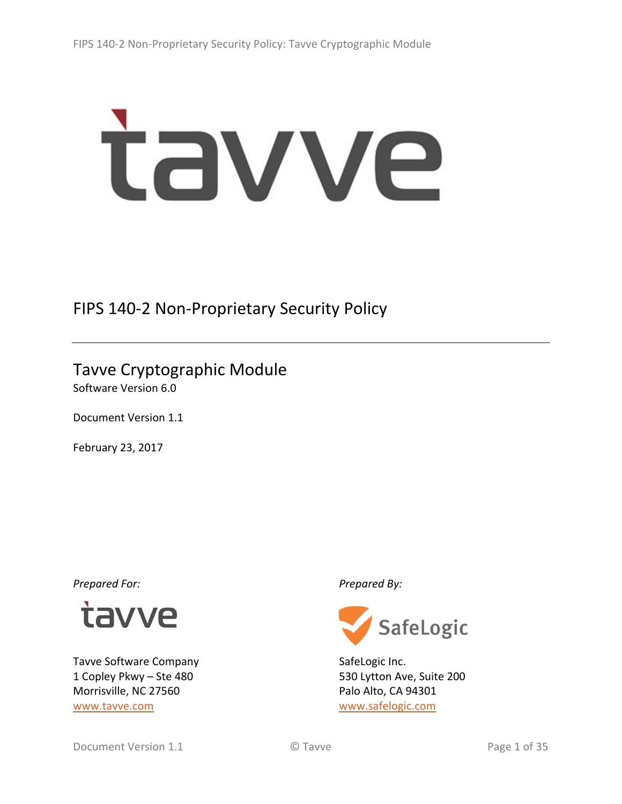# tavve

# FIPS 140‐2 Non‐Proprietary Security Policy

# Tavve Cryptographic Module

Software Version 6.0

Document Version 1.1

February 23, 2017

*Prepared For: Prepared By:*



Tavve Software Company 1 Copley Pkwy – Ste 480 Morrisville, NC 27560 www.tavve.com



SafeLogic Inc. 530 Lytton Ave, Suite 200 Palo Alto, CA 94301 www.safelogic.com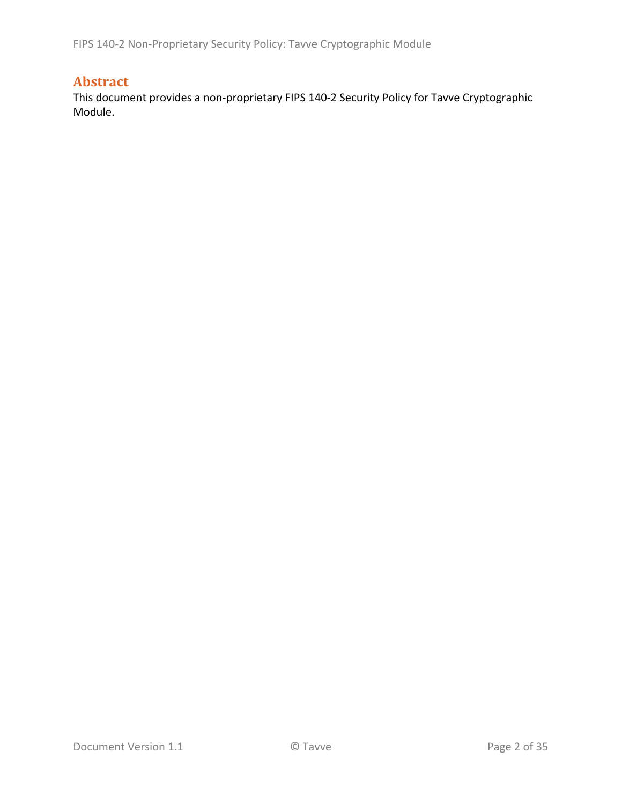FIPS 140‐2 Non‐Proprietary Security Policy: Tavve Cryptographic Module

## **Abstract**

This document provides a non‐proprietary FIPS 140‐2 Security Policy for Tavve Cryptographic Module.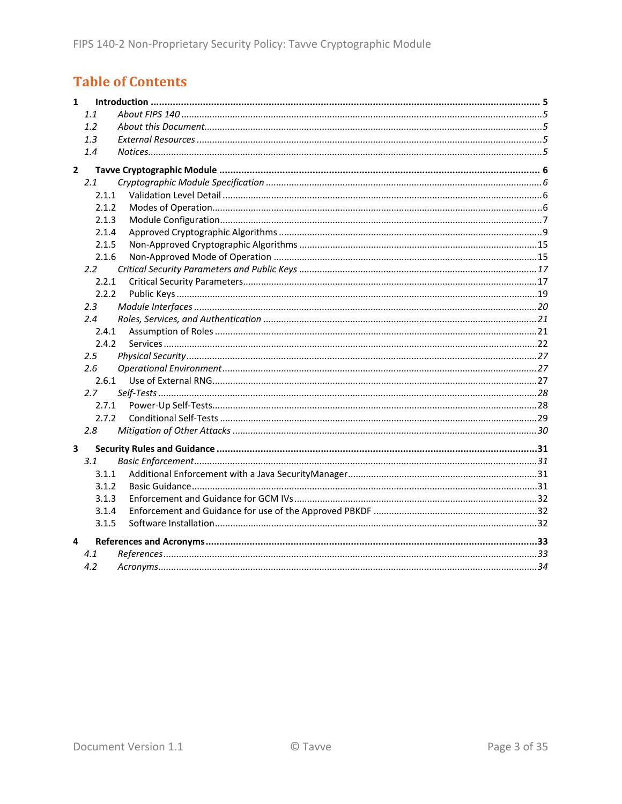# **Table of Contents**

| $\mathbf{1}$   |               |  |
|----------------|---------------|--|
|                | 1.1           |  |
|                | 1.2           |  |
|                | 1.3           |  |
|                | 1.4           |  |
| $\overline{2}$ |               |  |
|                | 2.1           |  |
|                | 2.1.1         |  |
|                | 2.1.2         |  |
|                | 2.1.3         |  |
|                | 2.1.4         |  |
|                | 2.1.5         |  |
|                | 2.1.6         |  |
|                | $2.2^{\circ}$ |  |
|                | 2.2.1         |  |
|                | 2.2.2         |  |
|                | 2.3           |  |
|                | 2.4           |  |
|                | 2.4.1         |  |
|                | 2.4.2         |  |
|                | 2.5           |  |
|                | 2.6           |  |
|                | 2.6.1         |  |
|                | 2.7           |  |
|                | 2.7.1         |  |
|                | 2.7.2         |  |
|                | 2.8           |  |
| 3              |               |  |
|                | 3.1           |  |
|                | 3.1.1         |  |
|                | 3.1.2         |  |
|                | 3.1.3         |  |
|                | 3.1.4         |  |
|                | 3.1.5         |  |
| 4              |               |  |
|                | 4.1           |  |
|                | 4.2           |  |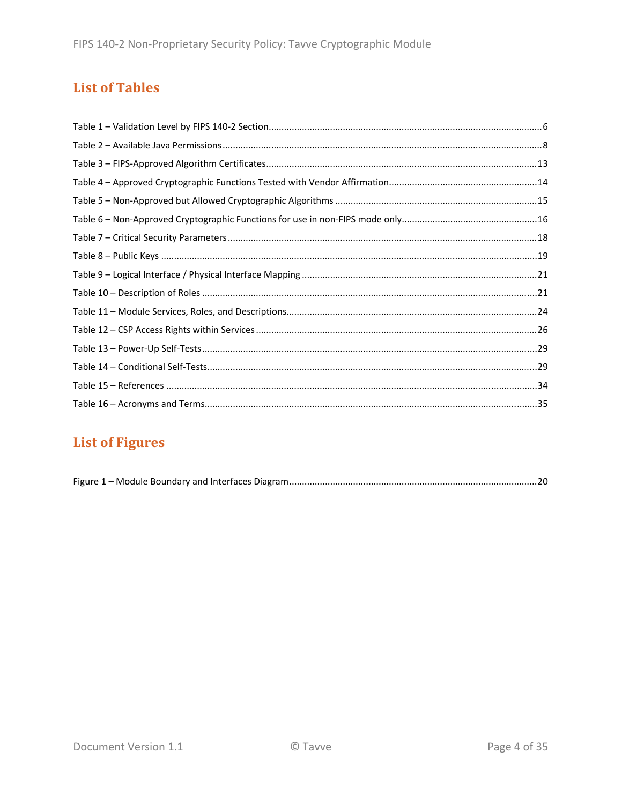## **List of Tables**

# **List of Figures**

|--|--|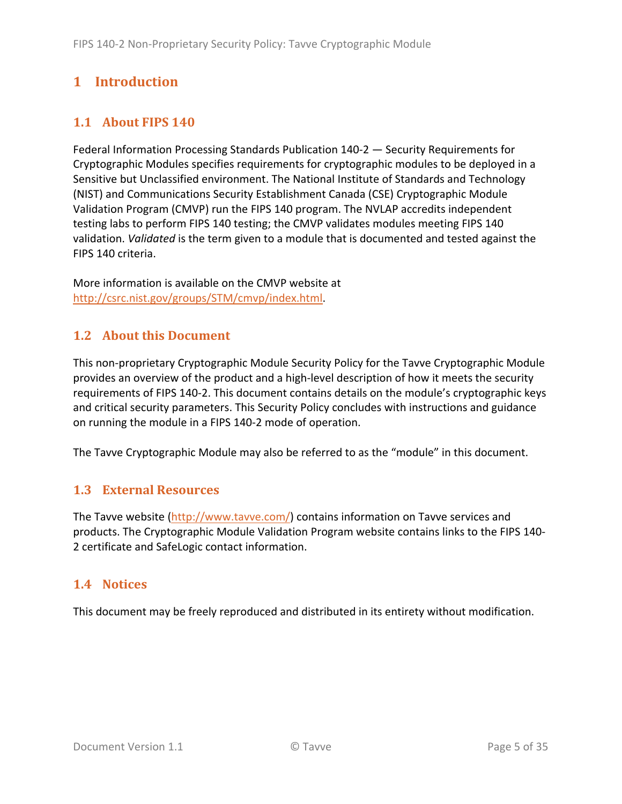# **1 Introduction**

## **1.1 About FIPS 140**

Federal Information Processing Standards Publication 140‐2 — Security Requirements for Cryptographic Modules specifies requirements for cryptographic modules to be deployed in a Sensitive but Unclassified environment. The National Institute of Standards and Technology (NIST) and Communications Security Establishment Canada (CSE) Cryptographic Module Validation Program (CMVP) run the FIPS 140 program. The NVLAP accredits independent testing labs to perform FIPS 140 testing; the CMVP validates modules meeting FIPS 140 validation. *Validated* is the term given to a module that is documented and tested against the FIPS 140 criteria.

More information is available on the CMVP website at http://csrc.nist.gov/groups/STM/cmvp/index.html.

## **1.2 About this Document**

This non‐proprietary Cryptographic Module Security Policy for the Tavve Cryptographic Module provides an overview of the product and a high‐level description of how it meets the security requirements of FIPS 140‐2. This document contains details on the module's cryptographic keys and critical security parameters. This Security Policy concludes with instructions and guidance on running the module in a FIPS 140‐2 mode of operation.

The Tavve Cryptographic Module may also be referred to as the "module" in this document.

## **1.3 External Resources**

The Tavve website (http://www.tavve.com/) contains information on Tavve services and products. The Cryptographic Module Validation Program website contains links to the FIPS 140‐ 2 certificate and SafeLogic contact information.

#### **1.4 Notices**

This document may be freely reproduced and distributed in its entirety without modification.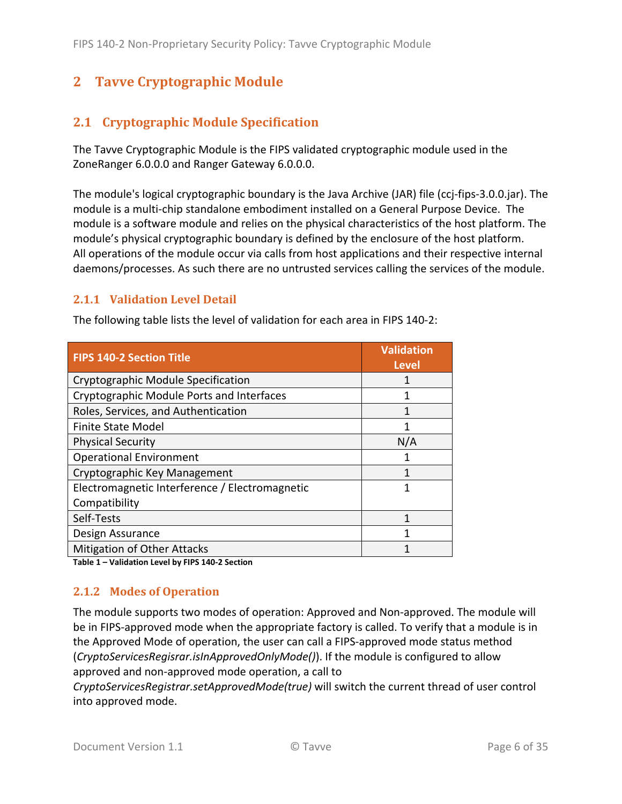## **2** Tavve Cryptographic Module

## **2.1 Cryptographic Module Specification**

The Tavve Cryptographic Module is the FIPS validated cryptographic module used in the ZoneRanger 6.0.0.0 and Ranger Gateway 6.0.0.0.

The module's logical cryptographic boundary is the Java Archive (JAR) file (ccj-fips-3.0.0.jar). The module is a multi‐chip standalone embodiment installed on a General Purpose Device. The module is a software module and relies on the physical characteristics of the host platform. The module's physical cryptographic boundary is defined by the enclosure of the host platform. All operations of the module occur via calls from host applications and their respective internal daemons/processes. As such there are no untrusted services calling the services of the module.

#### **2.1.1 Validation Level Detail**

The following table lists the level of validation for each area in FIPS 140‐2:

| <b>FIPS 140-2 Section Title</b>                | Validation<br><b>Level</b> |
|------------------------------------------------|----------------------------|
| Cryptographic Module Specification             |                            |
| Cryptographic Module Ports and Interfaces      |                            |
| Roles, Services, and Authentication            | 1                          |
| <b>Finite State Model</b>                      | 1                          |
| <b>Physical Security</b>                       | N/A                        |
| <b>Operational Environment</b>                 |                            |
| Cryptographic Key Management                   |                            |
| Electromagnetic Interference / Electromagnetic | 1                          |
| Compatibility                                  |                            |
| Self-Tests                                     | 1                          |
| Design Assurance                               | 1                          |
| Mitigation of Other Attacks                    |                            |

**Table 1 – Validation Level by FIPS 140‐2 Section**

#### **2.1.2 Modes of Operation**

The module supports two modes of operation: Approved and Non‐approved. The module will be in FIPS‐approved mode when the appropriate factory is called. To verify that a module is in the Approved Mode of operation, the user can call a FIPS‐approved mode status method (*CryptoServicesRegisrar.isInApprovedOnlyMode()*). If the module is configured to allow approved and non‐approved mode operation, a call to

*CryptoServicesRegistrar.setApprovedMode(true)* will switch the current thread of user control into approved mode.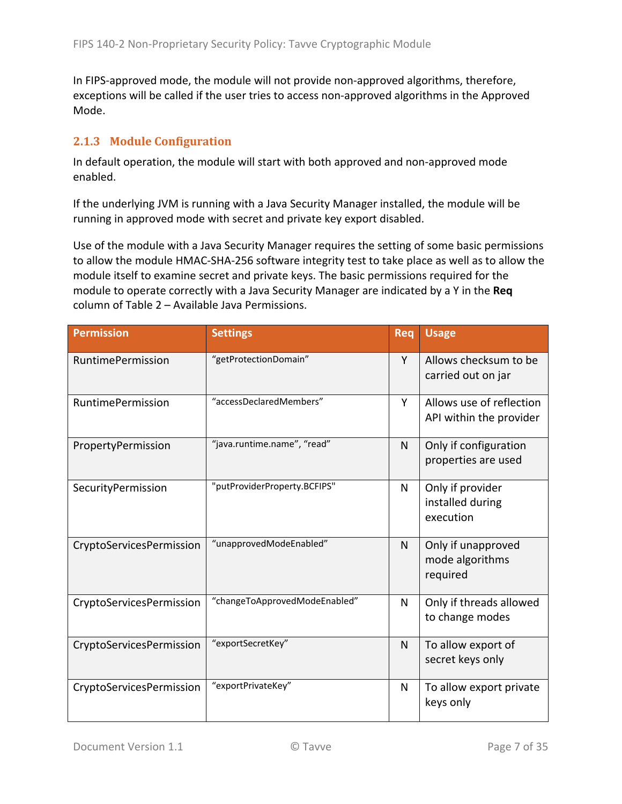In FIPS-approved mode, the module will not provide non-approved algorithms, therefore, exceptions will be called if the user tries to access non-approved algorithms in the Approved Mode.

#### **2.1.3 Module Configuration**

In default operation, the module will start with both approved and non‐approved mode enabled.

If the underlying JVM is running with a Java Security Manager installed, the module will be running in approved mode with secret and private key export disabled.

Use of the module with a Java Security Manager requires the setting of some basic permissions to allow the module HMAC‐SHA‐256 software integrity test to take place as well as to allow the module itself to examine secret and private keys. The basic permissions required for the module to operate correctly with a Java Security Manager are indicated by a Y in the **Req** column of Table 2 – Available Java Permissions.

| <b>Permission</b>        | <b>Settings</b>               | Req | <b>Usage</b>                                        |
|--------------------------|-------------------------------|-----|-----------------------------------------------------|
| <b>RuntimePermission</b> | "getProtectionDomain"         | Y   | Allows checksum to be<br>carried out on jar         |
| <b>RuntimePermission</b> | "accessDeclaredMembers"       | Y   | Allows use of reflection<br>API within the provider |
| PropertyPermission       | "java.runtime.name", "read"   | N   | Only if configuration<br>properties are used        |
| SecurityPermission       | "putProviderProperty.BCFIPS"  | N   | Only if provider<br>installed during<br>execution   |
| CryptoServicesPermission | "unapprovedModeEnabled"       | N   | Only if unapproved<br>mode algorithms<br>required   |
| CryptoServicesPermission | "changeToApprovedModeEnabled" | N   | Only if threads allowed<br>to change modes          |
| CryptoServicesPermission | "exportSecretKey"             | N   | To allow export of<br>secret keys only              |
| CryptoServicesPermission | "exportPrivateKey"            | N   | To allow export private<br>keys only                |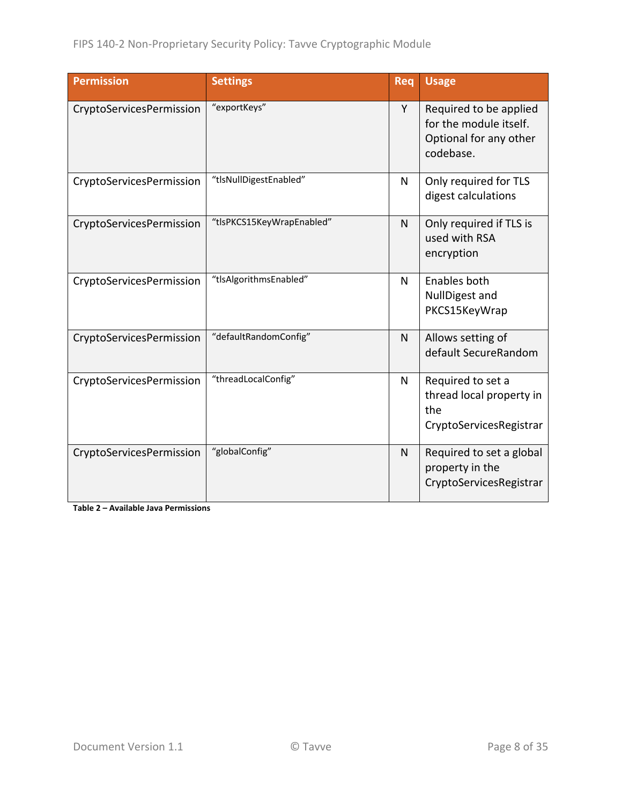| <b>Permission</b>        | <b>Settings</b>           | Req | <b>Usage</b>                                                                            |
|--------------------------|---------------------------|-----|-----------------------------------------------------------------------------------------|
| CryptoServicesPermission | "exportKeys"              | Y   | Required to be applied<br>for the module itself.<br>Optional for any other<br>codebase. |
| CryptoServicesPermission | "tlsNullDigestEnabled"    | N   | Only required for TLS<br>digest calculations                                            |
| CryptoServicesPermission | "tlsPKCS15KeyWrapEnabled" | N   | Only required if TLS is<br>used with RSA<br>encryption                                  |
| CryptoServicesPermission | "tlsAlgorithmsEnabled"    | N   | Enables both<br>NullDigest and<br>PKCS15KeyWrap                                         |
| CryptoServicesPermission | "defaultRandomConfig"     | N   | Allows setting of<br>default SecureRandom                                               |
| CryptoServicesPermission | "threadLocalConfig"       | N   | Required to set a<br>thread local property in<br>the<br>CryptoServicesRegistrar         |
| CryptoServicesPermission | "globalConfig"            | N   | Required to set a global<br>property in the<br>CryptoServicesRegistrar                  |

**Table 2 – Available Java Permissions**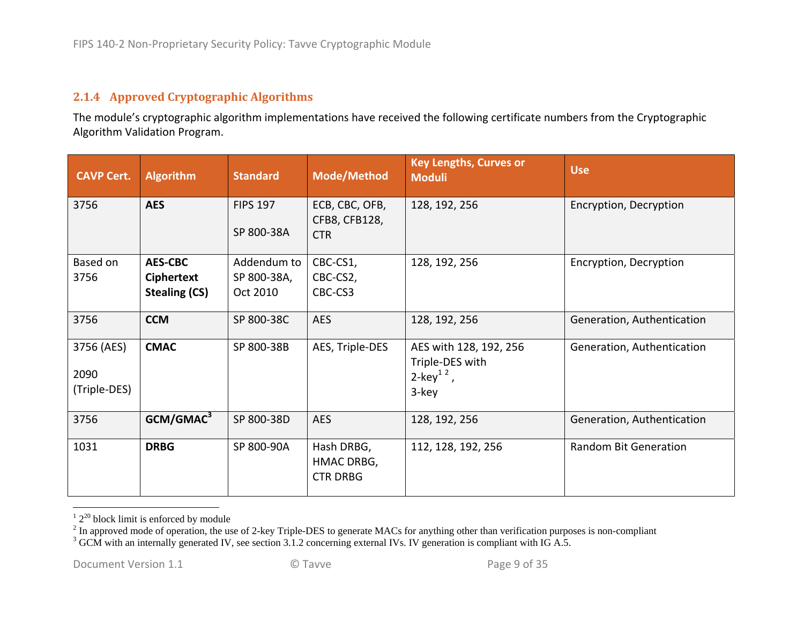#### **2.1.4 Approved Cryptographic Algorithms**

The module's cryptographic algorithm implementations have received the following certificate numbers from the Cryptographic Algorithm Validation Program.

| <b>CAVP Cert.</b>                  | <b>Algorithm</b>                                            | <b>Standard</b>                        | <b>Mode/Method</b>                            | <b>Key Lengths, Curves or</b><br><b>Moduli</b>                              | <b>Use</b>                   |
|------------------------------------|-------------------------------------------------------------|----------------------------------------|-----------------------------------------------|-----------------------------------------------------------------------------|------------------------------|
| 3756                               | <b>AES</b>                                                  | <b>FIPS 197</b><br>SP 800-38A          | ECB, CBC, OFB,<br>CFB8, CFB128,<br><b>CTR</b> | 128, 192, 256                                                               | Encryption, Decryption       |
| Based on<br>3756                   | <b>AES-CBC</b><br><b>Ciphertext</b><br><b>Stealing (CS)</b> | Addendum to<br>SP 800-38A,<br>Oct 2010 | CBC-CS1,<br>CBC-CS2,<br>CBC-CS3               | 128, 192, 256                                                               | Encryption, Decryption       |
| 3756                               | <b>CCM</b>                                                  | SP 800-38C                             | <b>AES</b>                                    | 128, 192, 256                                                               | Generation, Authentication   |
| 3756 (AES)<br>2090<br>(Triple-DES) | <b>CMAC</b>                                                 | SP 800-38B                             | AES, Triple-DES                               | AES with 128, 192, 256<br>Triple-DES with<br>2-key <sup>12</sup> ,<br>3-key | Generation, Authentication   |
| 3756                               | GCM/GMAC <sup>3</sup>                                       | SP 800-38D                             | <b>AES</b>                                    | 128, 192, 256                                                               | Generation, Authentication   |
| 1031                               | <b>DRBG</b>                                                 | SP 800-90A                             | Hash DRBG,<br>HMAC DRBG,<br><b>CTR DRBG</b>   | 112, 128, 192, 256                                                          | <b>Random Bit Generation</b> |

 $12^{20}$  block limit is enforced by module

 $2^{2}$  In approved mode of operation, the use of 2-key Triple-DES to generate MACs for anything other than verification purposes is non-compliant

 $3$  GCM with an internally generated IV, see section 3.1.2 concerning external IVs. IV generation is compliant with IG A.5.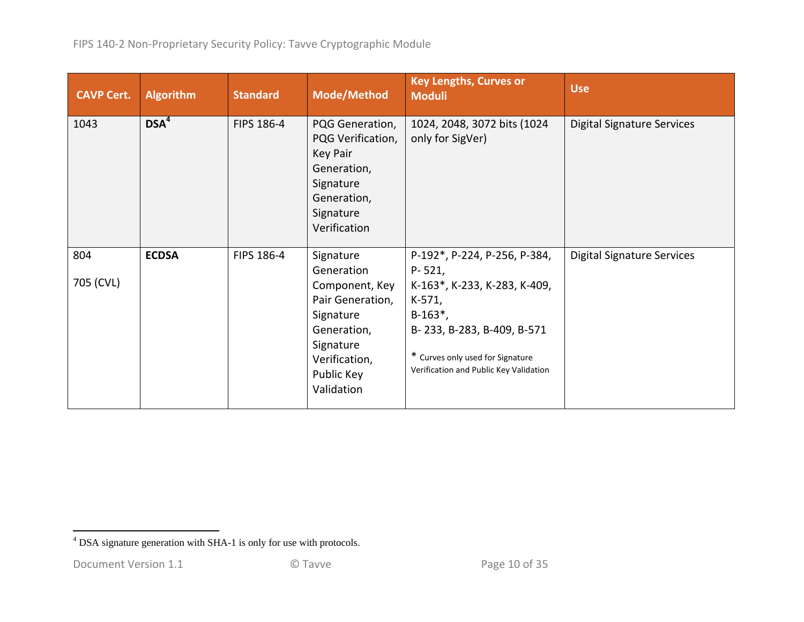| <b>CAVP Cert.</b> | <b>Algorithm</b> | <b>Standard</b> | <b>Mode/Method</b>                                                                                                                                  | <b>Key Lengths, Curves or</b><br><b>Moduli</b>                                                                                                                                                                    | <b>Use</b>                        |
|-------------------|------------------|-----------------|-----------------------------------------------------------------------------------------------------------------------------------------------------|-------------------------------------------------------------------------------------------------------------------------------------------------------------------------------------------------------------------|-----------------------------------|
| 1043              | DSA <sup>4</sup> | FIPS 186-4      | PQG Generation,<br>PQG Verification,<br>Key Pair<br>Generation,<br>Signature<br>Generation,<br>Signature<br>Verification                            | 1024, 2048, 3072 bits (1024<br>only for SigVer)                                                                                                                                                                   | <b>Digital Signature Services</b> |
| 804<br>705 (CVL)  | <b>ECDSA</b>     | FIPS 186-4      | Signature<br>Generation<br>Component, Key<br>Pair Generation,<br>Signature<br>Generation,<br>Signature<br>Verification,<br>Public Key<br>Validation | P-192*, P-224, P-256, P-384,<br>$P - 521,$<br>K-163*, K-233, K-283, K-409,<br>$K-571,$<br>$B-163^*$ ,<br>B-233, B-283, B-409, B-571<br>* Curves only used for Signature<br>Verification and Public Key Validation | Digital Signature Services        |

<sup>4</sup> DSA signature generation with SHA-1 is only for use with protocols.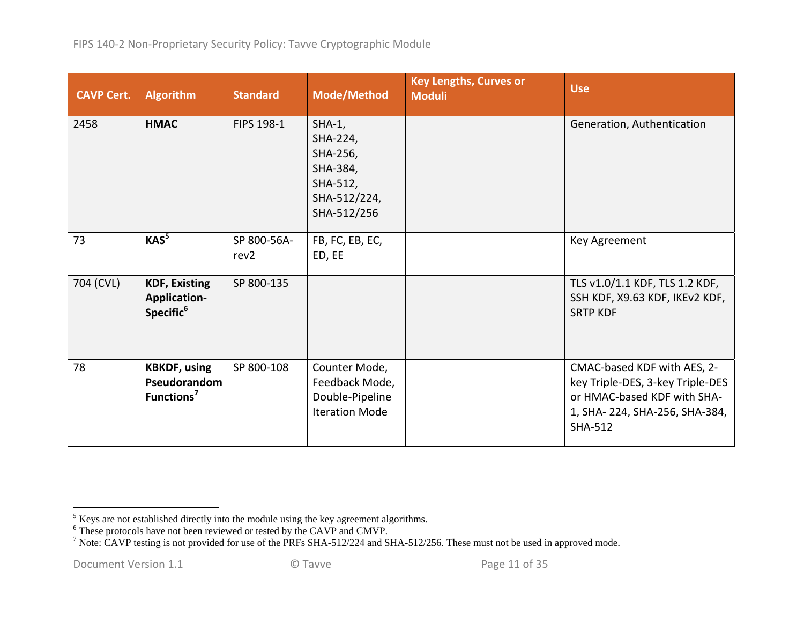| <b>CAVP Cert.</b> | <b>Algorithm</b>                                                     | <b>Standard</b>                 | <b>Mode/Method</b>                                                                      | <b>Key Lengths, Curves or</b><br><b>Moduli</b> | <b>Use</b>                                                                                                                                        |
|-------------------|----------------------------------------------------------------------|---------------------------------|-----------------------------------------------------------------------------------------|------------------------------------------------|---------------------------------------------------------------------------------------------------------------------------------------------------|
| 2458              | <b>HMAC</b>                                                          | FIPS 198-1                      | $SHA-1,$<br>SHA-224,<br>SHA-256,<br>SHA-384,<br>SHA-512,<br>SHA-512/224,<br>SHA-512/256 |                                                | Generation, Authentication                                                                                                                        |
| 73                | KAS <sup>5</sup>                                                     | SP 800-56A-<br>rev <sub>2</sub> | FB, FC, EB, EC,<br>ED, EE                                                               |                                                | Key Agreement                                                                                                                                     |
| 704 (CVL)         | <b>KDF, Existing</b><br><b>Application-</b><br>Specific <sup>6</sup> | SP 800-135                      |                                                                                         |                                                | TLS v1.0/1.1 KDF, TLS 1.2 KDF,<br>SSH KDF, X9.63 KDF, IKEv2 KDF,<br><b>SRTP KDF</b>                                                               |
| 78                | <b>KBKDF, using</b><br>Pseudorandom<br>Functions <sup>7</sup>        | SP 800-108                      | Counter Mode,<br>Feedback Mode,<br>Double-Pipeline<br><b>Iteration Mode</b>             |                                                | CMAC-based KDF with AES, 2-<br>key Triple-DES, 3-key Triple-DES<br>or HMAC-based KDF with SHA-<br>1, SHA-224, SHA-256, SHA-384,<br><b>SHA-512</b> |

 $<sup>5</sup>$  Keys are not established directly into the module using the key agreement algorithms.</sup>

 $6$  These protocols have not been reviewed or tested by the CAVP and CMVP.

<sup>&</sup>lt;sup>7</sup> Note: CAVP testing is not provided for use of the PRFs SHA-512/224 and SHA-512/256. These must not be used in approved mode.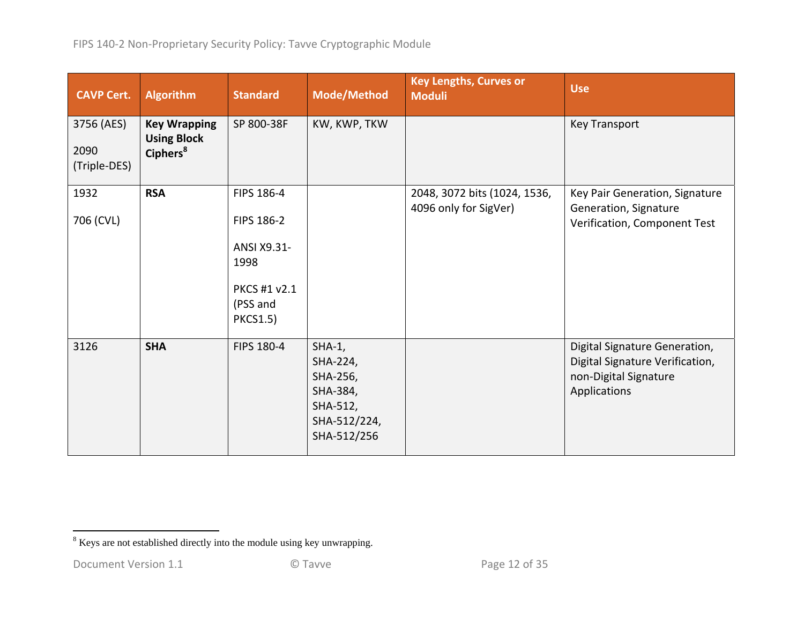| <b>CAVP Cert.</b>                  | <b>Algorithm</b>                                                  | <b>Standard</b>                                                                                | Mode/Method                                                                             | <b>Key Lengths, Curves or</b><br><b>Moduli</b>        | <b>Use</b>                                                                                                |
|------------------------------------|-------------------------------------------------------------------|------------------------------------------------------------------------------------------------|-----------------------------------------------------------------------------------------|-------------------------------------------------------|-----------------------------------------------------------------------------------------------------------|
| 3756 (AES)<br>2090<br>(Triple-DES) | <b>Key Wrapping</b><br><b>Using Block</b><br>Ciphers <sup>8</sup> | SP 800-38F                                                                                     | KW, KWP, TKW                                                                            |                                                       | <b>Key Transport</b>                                                                                      |
| 1932<br>706 (CVL)                  | <b>RSA</b>                                                        | FIPS 186-4<br>FIPS 186-2<br>ANSI X9.31-<br>1998<br>PKCS #1 v2.1<br>(PSS and<br><b>PKCS1.5)</b> |                                                                                         | 2048, 3072 bits (1024, 1536,<br>4096 only for SigVer) | Key Pair Generation, Signature<br>Generation, Signature<br>Verification, Component Test                   |
| 3126                               | <b>SHA</b>                                                        | FIPS 180-4                                                                                     | $SHA-1,$<br>SHA-224,<br>SHA-256,<br>SHA-384,<br>SHA-512,<br>SHA-512/224,<br>SHA-512/256 |                                                       | Digital Signature Generation,<br>Digital Signature Verification,<br>non-Digital Signature<br>Applications |

<sup>8</sup> Keys are not established directly into the module using key unwrapping.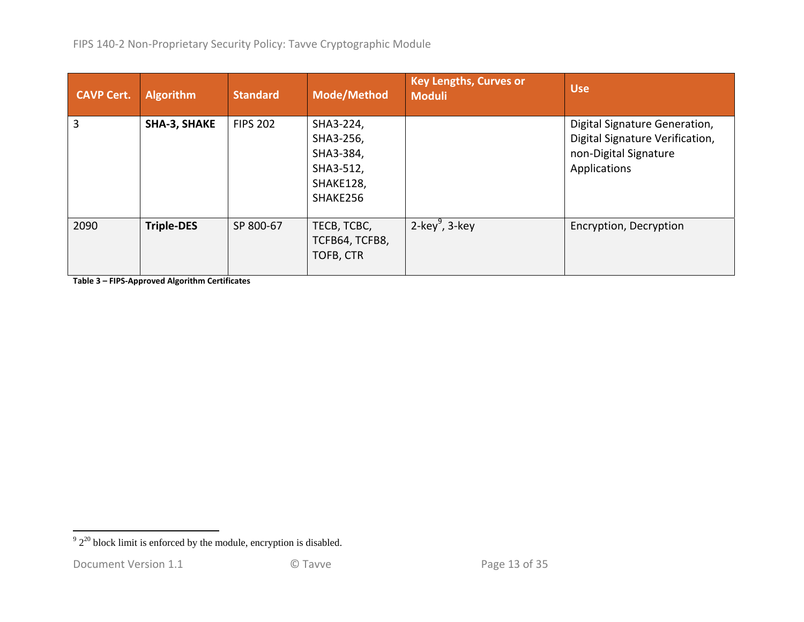| <b>CAVP Cert.</b> | <b>Algorithm</b>  | <b>Standard</b> | Mode/Method                                                               | <b>Key Lengths, Curves or</b><br><b>Moduli</b> | <b>Use</b>                                                                                                |
|-------------------|-------------------|-----------------|---------------------------------------------------------------------------|------------------------------------------------|-----------------------------------------------------------------------------------------------------------|
| 3                 | SHA-3, SHAKE      | <b>FIPS 202</b> | SHA3-224,<br>SHA3-256,<br>SHA3-384,<br>SHA3-512,<br>SHAKE128,<br>SHAKE256 |                                                | Digital Signature Generation,<br>Digital Signature Verification,<br>non-Digital Signature<br>Applications |
| 2090              | <b>Triple-DES</b> | SP 800-67       | TECB, TCBC,<br>TCFB64, TCFB8,<br>TOFB, CTR                                | 2-key $9$ , 3-key                              | Encryption, Decryption                                                                                    |

**Table 3 – FIPS‐Approved Algorithm Certificates**

 $\frac{9}{2^{20}}$  block limit is enforced by the module, encryption is disabled.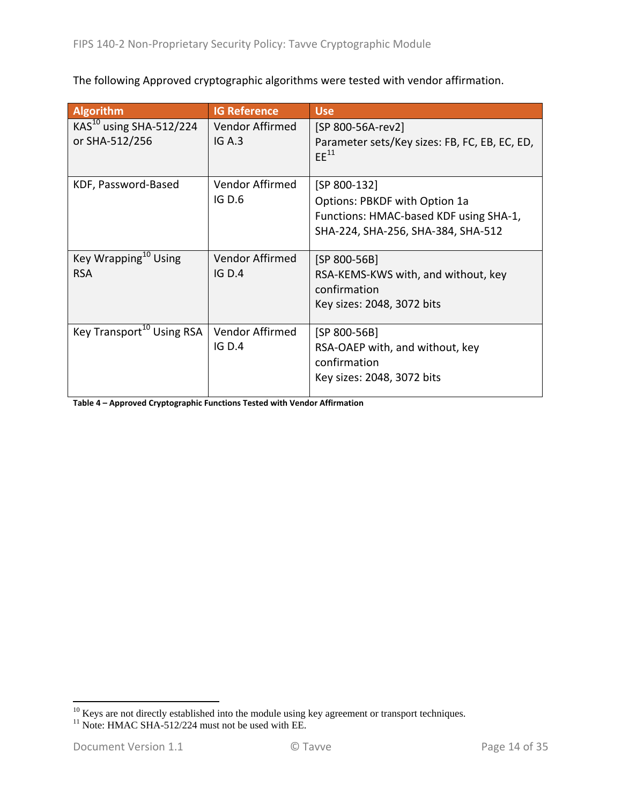The following Approved cryptographic algorithms were tested with vendor affirmation.

| <b>Algorithm</b>                      | <b>IG Reference</b> | <b>Use</b>                                                 |
|---------------------------------------|---------------------|------------------------------------------------------------|
| KAS <sup>10</sup> using SHA-512/224   | Vendor Affirmed     | [SP 800-56A-rev2]                                          |
| or SHA-512/256                        | IG A.3              | Parameter sets/Key sizes: FB, FC, EB, EC, ED,<br>$EE^{11}$ |
| KDF, Password-Based                   | Vendor Affirmed     | [SP 800-132]                                               |
|                                       | IGD.6               | Options: PBKDF with Option 1a                              |
|                                       |                     | Functions: HMAC-based KDF using SHA-1,                     |
|                                       |                     | SHA-224, SHA-256, SHA-384, SHA-512                         |
|                                       |                     |                                                            |
| Key Wrapping <sup>10</sup> Using      | Vendor Affirmed     | $[SP 800-56B]$                                             |
| <b>RSA</b>                            | IG D.4              | RSA-KEMS-KWS with, and without, key                        |
|                                       |                     | confirmation                                               |
|                                       |                     | Key sizes: 2048, 3072 bits                                 |
| Key Transport <sup>10</sup> Using RSA | Vendor Affirmed     | [SP 800-56B]                                               |
|                                       | IG D.4              | RSA-OAEP with, and without, key                            |
|                                       |                     | confirmation                                               |
|                                       |                     | Key sizes: 2048, 3072 bits                                 |
|                                       |                     |                                                            |

**Table 4 – Approved Cryptographic Functions Tested with Vendor Affirmation**

<sup>&</sup>lt;sup>10</sup> Keys are not directly established into the module using key agreement or transport techniques. <sup>11</sup> Note: HMAC SHA-512/224 must not be used with EE.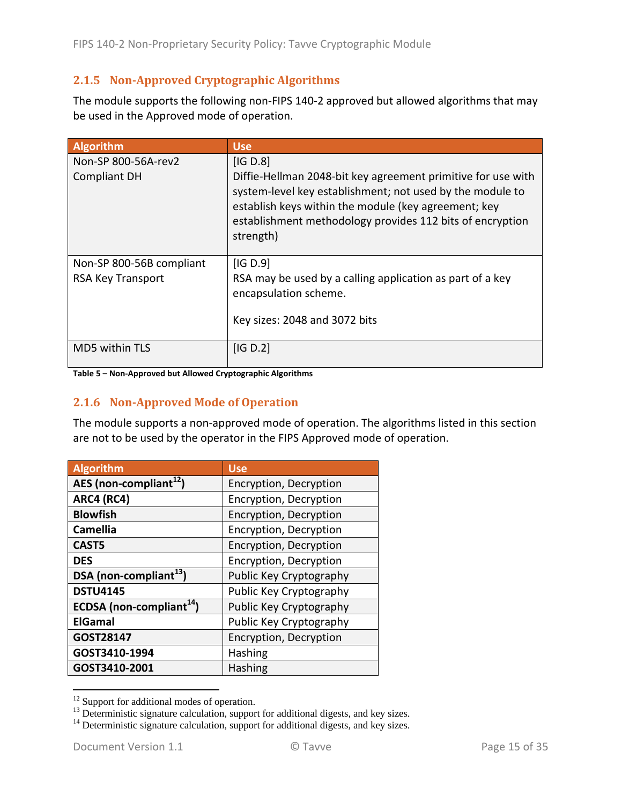## **2.1.5 Non‐Approved Cryptographic Algorithms**

The module supports the following non-FIPS 140-2 approved but allowed algorithms that may be used in the Approved mode of operation.

| <b>Algorithm</b>                                     | <b>Use</b>                                                                                                                                                                                                                                                              |
|------------------------------------------------------|-------------------------------------------------------------------------------------------------------------------------------------------------------------------------------------------------------------------------------------------------------------------------|
| Non-SP 800-56A-rev2<br><b>Compliant DH</b>           | [IG D.8]<br>Diffie-Hellman 2048-bit key agreement primitive for use with<br>system-level key establishment; not used by the module to<br>establish keys within the module (key agreement; key<br>establishment methodology provides 112 bits of encryption<br>strength) |
| Non-SP 800-56B compliant<br><b>RSA Key Transport</b> | [IG D.9]<br>RSA may be used by a calling application as part of a key<br>encapsulation scheme.<br>Key sizes: 2048 and 3072 bits                                                                                                                                         |
| MD5 within TLS                                       | [IG D.2]                                                                                                                                                                                                                                                                |

**Table 5 – Non‐Approved but Allowed Cryptographic Algorithms**

#### **2.1.6 Non‐Approved Mode of Operation**

The module supports a non‐approved mode of operation. The algorithms listed in this section are not to be used by the operator in the FIPS Approved mode of operation.

| Algorithm                            | <b>Use</b>              |
|--------------------------------------|-------------------------|
| AES (non-compliant <sup>12</sup> )   | Encryption, Decryption  |
| ARC4 (RC4)                           | Encryption, Decryption  |
| <b>Blowfish</b>                      | Encryption, Decryption  |
| <b>Camellia</b>                      | Encryption, Decryption  |
| CAST <sub>5</sub>                    | Encryption, Decryption  |
| <b>DES</b>                           | Encryption, Decryption  |
| DSA (non-compliant <sup>13</sup> )   | Public Key Cryptography |
| <b>DSTU4145</b>                      | Public Key Cryptography |
| ECDSA (non-compliant <sup>14</sup> ) | Public Key Cryptography |
| <b>ElGamal</b>                       | Public Key Cryptography |
| GOST28147                            | Encryption, Decryption  |
| GOST3410-1994                        | <b>Hashing</b>          |
| GOST3410-2001                        | Hashing                 |

 $12$  Support for additional modes of operation.

<sup>&</sup>lt;sup>13</sup> Deterministic signature calculation, support for additional digests, and key sizes.  $14$  Deterministic signature calculation, support for additional digests, and key sizes.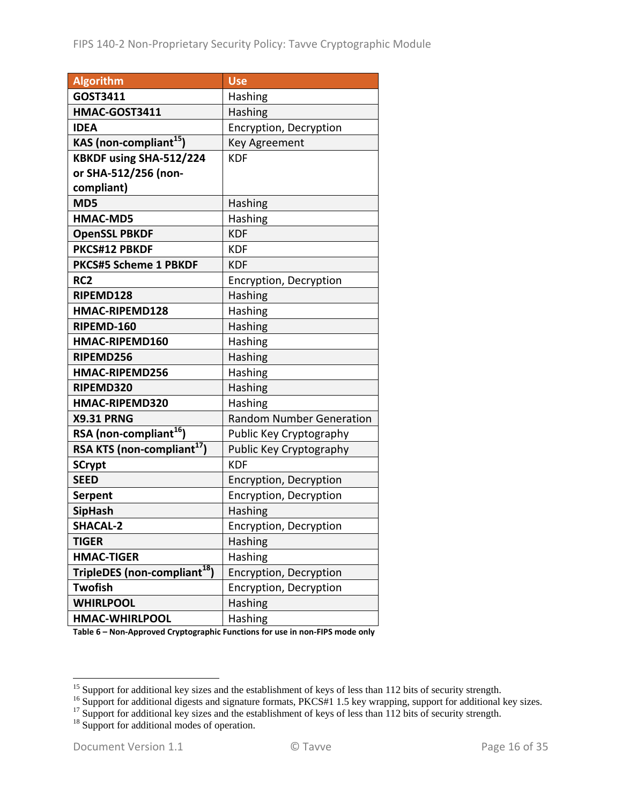| <b>Algorithm</b>                         | <b>Use</b>                      |
|------------------------------------------|---------------------------------|
| GOST3411                                 | Hashing                         |
| HMAC-GOST3411                            | Hashing                         |
| <b>IDEA</b>                              | Encryption, Decryption          |
| KAS (non-compliant <sup>15</sup> )       | <b>Key Agreement</b>            |
| KBKDF using SHA-512/224                  | <b>KDF</b>                      |
| or SHA-512/256 (non-                     |                                 |
| compliant)                               |                                 |
| MD5                                      | Hashing                         |
| <b>HMAC-MD5</b>                          | Hashing                         |
| <b>OpenSSL PBKDF</b>                     | <b>KDF</b>                      |
| PKCS#12 PBKDF                            | <b>KDF</b>                      |
| <b>PKCS#5 Scheme 1 PBKDF</b>             | <b>KDF</b>                      |
| RC <sub>2</sub>                          | Encryption, Decryption          |
| RIPEMD128                                | Hashing                         |
| HMAC-RIPEMD128                           | Hashing                         |
| RIPEMD-160                               | Hashing                         |
| HMAC-RIPEMD160                           | Hashing                         |
| RIPEMD256                                | Hashing                         |
| HMAC-RIPEMD256                           | Hashing                         |
| RIPEMD320                                | Hashing                         |
| HMAC-RIPEMD320                           | Hashing                         |
| <b>X9.31 PRNG</b>                        | <b>Random Number Generation</b> |
| RSA (non-compliant <sup>16</sup> )       | Public Key Cryptography         |
| RSA KTS (non-compliant <sup>17</sup> )   | Public Key Cryptography         |
| <b>SCrypt</b>                            | <b>KDF</b>                      |
| <b>SEED</b>                              | Encryption, Decryption          |
| <b>Serpent</b>                           | Encryption, Decryption          |
| <b>SipHash</b>                           | Hashing                         |
| <b>SHACAL-2</b>                          | Encryption, Decryption          |
| <b>TIGER</b>                             | Hashing                         |
| <b>HMAC-TIGER</b>                        | <b>Hashing</b>                  |
| TripleDES (non-compliant <sup>18</sup> ) | Encryption, Decryption          |
| Twofish                                  | Encryption, Decryption          |
| <b>WHIRLPOOL</b>                         | Hashing                         |
| <b>HMAC-WHIRLPOOL</b>                    | Hashing                         |

**Table 6 – Non‐Approved Cryptographic Functions for use in non‐FIPS mode only**

<sup>&</sup>lt;sup>15</sup> Support for additional key sizes and the establishment of keys of less than 112 bits of security strength.<br><sup>16</sup> Support for additional digests and signature formats, PKCS#1 1.5 key wrapping, support for additional ke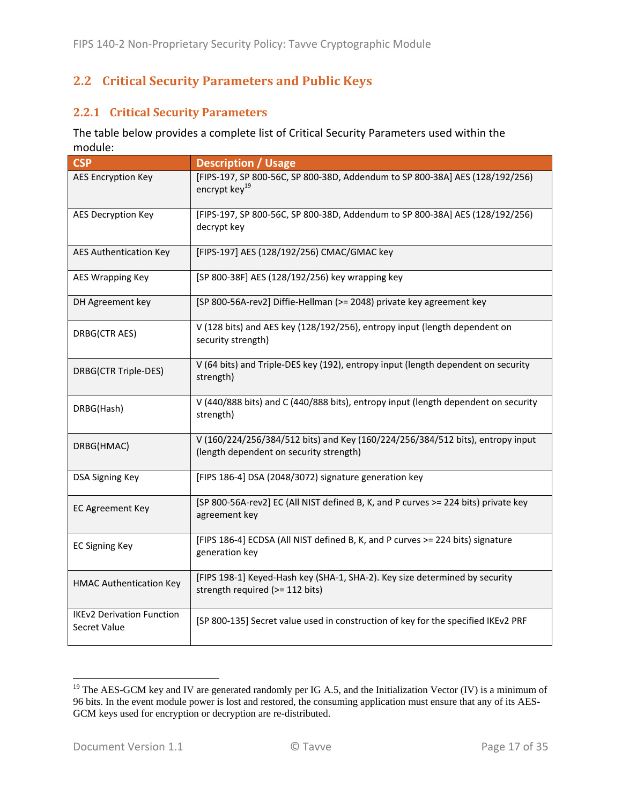## **2.2 Critical Security Parameters and Public Keys**

#### **2.2.1 Critical Security Parameters**

The table below provides a complete list of Critical Security Parameters used within the module:

| <b>CSP</b>                                       | <b>Description / Usage</b>                                                                                                |
|--------------------------------------------------|---------------------------------------------------------------------------------------------------------------------------|
| <b>AES Encryption Key</b>                        | [FIPS-197, SP 800-56C, SP 800-38D, Addendum to SP 800-38A] AES (128/192/256)<br>encrypt key <sup>19</sup>                 |
| <b>AES Decryption Key</b>                        | [FIPS-197, SP 800-56C, SP 800-38D, Addendum to SP 800-38A] AES (128/192/256)<br>decrypt key                               |
| <b>AES Authentication Key</b>                    | [FIPS-197] AES (128/192/256) CMAC/GMAC key                                                                                |
| <b>AES Wrapping Key</b>                          | [SP 800-38F] AES (128/192/256) key wrapping key                                                                           |
| DH Agreement key                                 | [SP 800-56A-rev2] Diffie-Hellman (>= 2048) private key agreement key                                                      |
| DRBG(CTR AES)                                    | V (128 bits) and AES key (128/192/256), entropy input (length dependent on<br>security strength)                          |
| DRBG(CTR Triple-DES)                             | V (64 bits) and Triple-DES key (192), entropy input (length dependent on security<br>strength)                            |
| DRBG(Hash)                                       | V (440/888 bits) and C (440/888 bits), entropy input (length dependent on security<br>strength)                           |
| DRBG(HMAC)                                       | V (160/224/256/384/512 bits) and Key (160/224/256/384/512 bits), entropy input<br>(length dependent on security strength) |
| <b>DSA Signing Key</b>                           | [FIPS 186-4] DSA (2048/3072) signature generation key                                                                     |
| <b>EC Agreement Key</b>                          | [SP 800-56A-rev2] EC (All NIST defined B, K, and P curves >= 224 bits) private key<br>agreement key                       |
| <b>EC Signing Key</b>                            | [FIPS 186-4] ECDSA (All NIST defined B, K, and P curves >= 224 bits) signature<br>generation key                          |
| <b>HMAC Authentication Key</b>                   | [FIPS 198-1] Keyed-Hash key (SHA-1, SHA-2). Key size determined by security<br>strength required (>= 112 bits)            |
| <b>IKEv2 Derivation Function</b><br>Secret Value | [SP 800-135] Secret value used in construction of key for the specified IKEv2 PRF                                         |

<sup>&</sup>lt;sup>19</sup> The AES-GCM key and IV are generated randomly per IG A.5, and the Initialization Vector (IV) is a minimum of 96 bits. In the event module power is lost and restored, the consuming application must ensure that any of its AES-GCM keys used for encryption or decryption are re-distributed.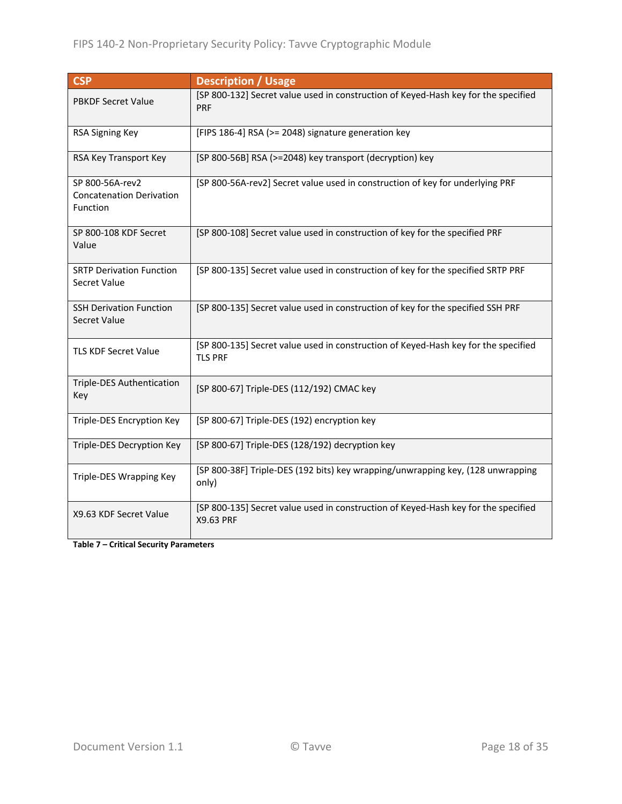| <b>CSP</b>                                                            | <b>Description / Usage</b>                                                                           |
|-----------------------------------------------------------------------|------------------------------------------------------------------------------------------------------|
| <b>PBKDF Secret Value</b>                                             | [SP 800-132] Secret value used in construction of Keyed-Hash key for the specified<br><b>PRF</b>     |
| RSA Signing Key                                                       | [FIPS 186-4] RSA (>= 2048) signature generation key                                                  |
| RSA Key Transport Key                                                 | [SP 800-56B] RSA (>=2048) key transport (decryption) key                                             |
| SP 800-56A-rev2<br><b>Concatenation Derivation</b><br><b>Function</b> | [SP 800-56A-rev2] Secret value used in construction of key for underlying PRF                        |
| SP 800-108 KDF Secret<br>Value                                        | [SP 800-108] Secret value used in construction of key for the specified PRF                          |
| <b>SRTP Derivation Function</b><br>Secret Value                       | [SP 800-135] Secret value used in construction of key for the specified SRTP PRF                     |
| <b>SSH Derivation Function</b><br>Secret Value                        | [SP 800-135] Secret value used in construction of key for the specified SSH PRF                      |
| <b>TLS KDF Secret Value</b>                                           | [SP 800-135] Secret value used in construction of Keyed-Hash key for the specified<br><b>TLS PRF</b> |
| <b>Triple-DES Authentication</b><br>Key                               | [SP 800-67] Triple-DES (112/192) CMAC key                                                            |
| Triple-DES Encryption Key                                             | [SP 800-67] Triple-DES (192) encryption key                                                          |
| Triple-DES Decryption Key                                             | [SP 800-67] Triple-DES (128/192) decryption key                                                      |
| Triple-DES Wrapping Key                                               | [SP 800-38F] Triple-DES (192 bits) key wrapping/unwrapping key, (128 unwrapping<br>only)             |
| X9.63 KDF Secret Value                                                | [SP 800-135] Secret value used in construction of Keyed-Hash key for the specified<br>X9.63 PRF      |

**Table 7 – Critical Security Parameters**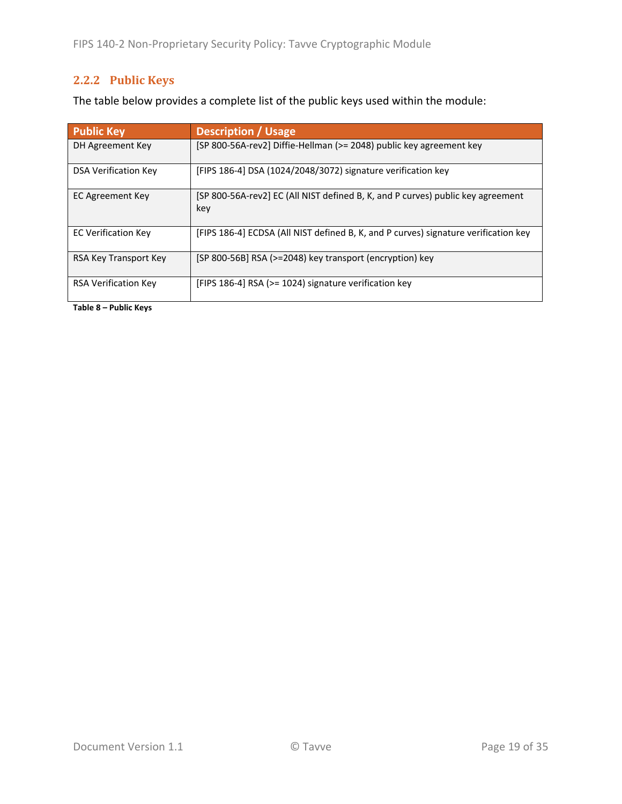## **2.2.2 Public Keys**

The table below provides a complete list of the public keys used within the module:

| <b>Public Key</b>           | <b>Description / Usage</b>                                                             |
|-----------------------------|----------------------------------------------------------------------------------------|
| DH Agreement Key            | [SP 800-56A-rev2] Diffie-Hellman (>= 2048) public key agreement key                    |
| <b>DSA Verification Key</b> | [FIPS 186-4] DSA (1024/2048/3072) signature verification key                           |
| EC Agreement Key            | [SP 800-56A-rev2] EC (All NIST defined B, K, and P curves) public key agreement<br>key |
| <b>EC Verification Key</b>  | [FIPS 186-4] ECDSA (All NIST defined B, K, and P curves) signature verification key    |
| RSA Key Transport Key       | [SP 800-56B] RSA (>=2048) key transport (encryption) key                               |
| <b>RSA Verification Key</b> | [FIPS 186-4] RSA (>= 1024) signature verification key                                  |

**Table 8 – Public Keys**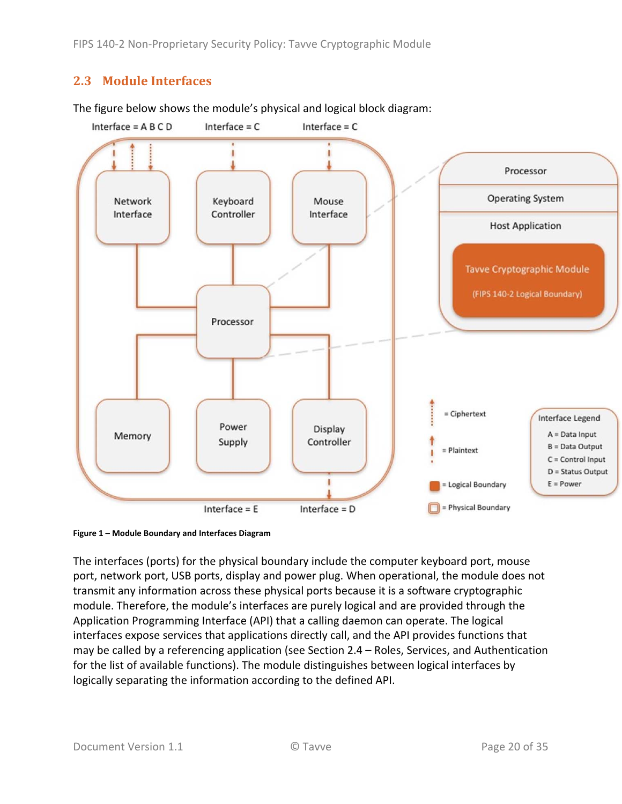## **2.3 Module Interfaces**

The figure below shows the module's physical and logical block diagram:



**Figure 1 – Module Boundary and Interfaces Diagram**

The interfaces (ports) for the physical boundary include the computer keyboard port, mouse port, network port, USB ports, display and power plug. When operational, the module does not transmit any information across these physical ports because it is a software cryptographic module. Therefore, the module's interfaces are purely logical and are provided through the Application Programming Interface (API) that a calling daemon can operate. The logical interfaces expose services that applications directly call, and the API provides functions that may be called by a referencing application (see Section 2.4 – Roles, Services, and Authentication for the list of available functions). The module distinguishes between logical interfaces by logically separating the information according to the defined API.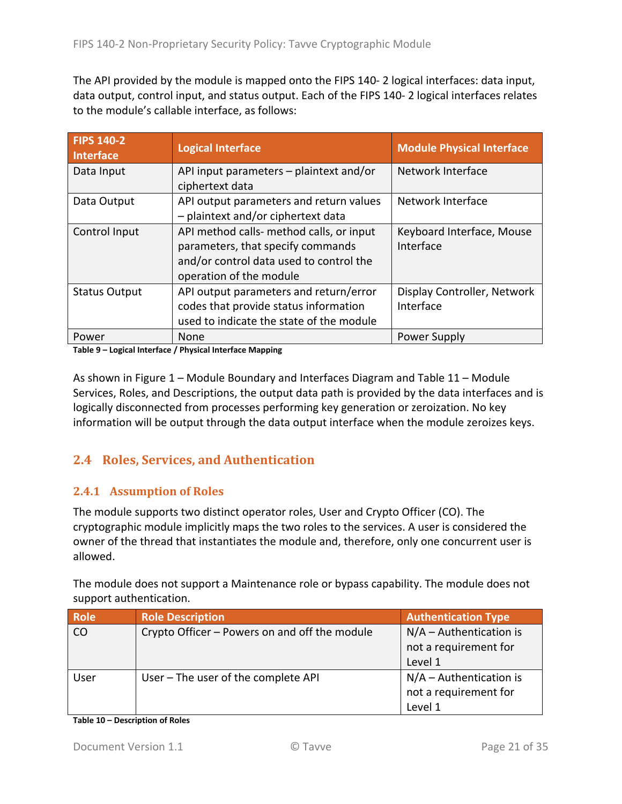The API provided by the module is mapped onto the FIPS 140‐ 2 logical interfaces: data input, data output, control input, and status output. Each of the FIPS 140‐ 2 logical interfaces relates to the module's callable interface, as follows:

| <b>FIPS 140-2</b><br><b>Interface</b> | <b>Logical Interface</b>                                                                                                                            | <b>Module Physical Interface</b>         |
|---------------------------------------|-----------------------------------------------------------------------------------------------------------------------------------------------------|------------------------------------------|
| Data Input                            | API input parameters - plaintext and/or<br>ciphertext data                                                                                          | Network Interface                        |
| Data Output                           | API output parameters and return values<br>- plaintext and/or ciphertext data                                                                       | Network Interface                        |
| Control Input                         | API method calls- method calls, or input<br>parameters, that specify commands<br>and/or control data used to control the<br>operation of the module | Keyboard Interface, Mouse<br>Interface   |
| <b>Status Output</b>                  | API output parameters and return/error<br>codes that provide status information<br>used to indicate the state of the module                         | Display Controller, Network<br>Interface |
| Power                                 | None                                                                                                                                                | Power Supply                             |

**Table 9 – Logical Interface / Physical Interface Mapping**

As shown in Figure 1 – Module Boundary and Interfaces Diagram and Table 11 – Module Services, Roles, and Descriptions, the output data path is provided by the data interfaces and is logically disconnected from processes performing key generation or zeroization. No key information will be output through the data output interface when the module zeroizes keys.

## **2.4 Roles, Services, and Authentication**

#### **2.4.1 Assumption of Roles**

The module supports two distinct operator roles, User and Crypto Officer (CO). The cryptographic module implicitly maps the two roles to the services. A user is considered the owner of the thread that instantiates the module and, therefore, only one concurrent user is allowed.

The module does not support a Maintenance role or bypass capability. The module does not support authentication.

| Role | <b>Role Description</b>                       | <b>Authentication Type</b> |
|------|-----------------------------------------------|----------------------------|
| CO   | Crypto Officer – Powers on and off the module | $N/A -$ Authentication is  |
|      |                                               | not a requirement for      |
|      |                                               | Level 1                    |
| User | User - The user of the complete API           | $N/A -$ Authentication is  |
|      |                                               | not a requirement for      |
|      |                                               | Level 1                    |

**Table 10 – Description of Roles**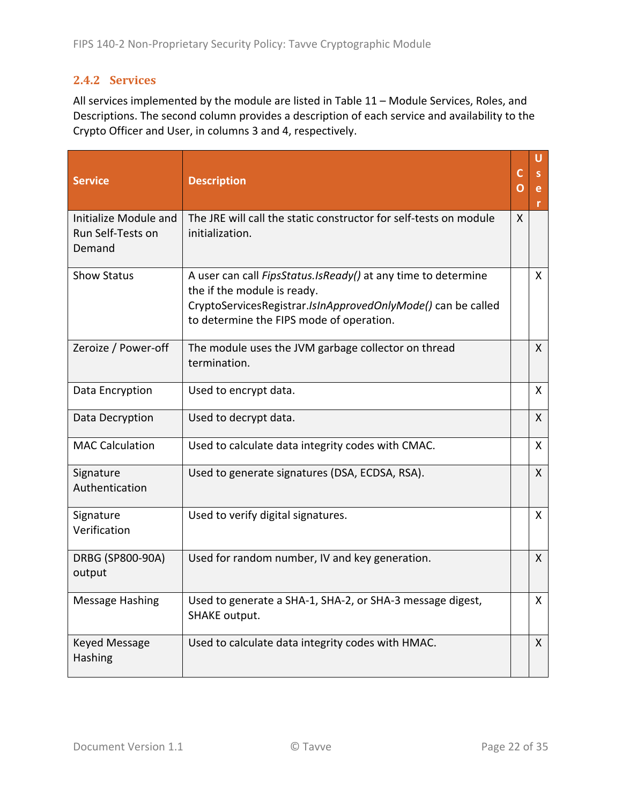## **2.4.2 Services**

All services implemented by the module are listed in Table 11 – Module Services, Roles, and Descriptions. The second column provides a description of each service and availability to the Crypto Officer and User, in columns 3 and 4, respectively.

| <b>Service</b>                                       | <b>Description</b>                                                                                                                                                                                        | C<br>O | U<br>e       |
|------------------------------------------------------|-----------------------------------------------------------------------------------------------------------------------------------------------------------------------------------------------------------|--------|--------------|
| Initialize Module and<br>Run Self-Tests on<br>Demand | The JRE will call the static constructor for self-tests on module<br>initialization.                                                                                                                      | X      |              |
| <b>Show Status</b>                                   | A user can call FipsStatus. IsReady() at any time to determine<br>the if the module is ready.<br>CryptoServicesRegistrar.IsInApprovedOnlyMode() can be called<br>to determine the FIPS mode of operation. |        | X.           |
| Zeroize / Power-off                                  | The module uses the JVM garbage collector on thread<br>termination.                                                                                                                                       |        | $\mathsf{X}$ |
| Data Encryption                                      | Used to encrypt data.                                                                                                                                                                                     |        | X            |
| Data Decryption                                      | Used to decrypt data.                                                                                                                                                                                     |        | X            |
| <b>MAC Calculation</b>                               | Used to calculate data integrity codes with CMAC.                                                                                                                                                         |        | $\mathsf{X}$ |
| Signature<br>Authentication                          | Used to generate signatures (DSA, ECDSA, RSA).                                                                                                                                                            |        | X            |
| Signature<br>Verification                            | Used to verify digital signatures.                                                                                                                                                                        |        | $\mathsf{X}$ |
| DRBG (SP800-90A)<br>output                           | Used for random number, IV and key generation.                                                                                                                                                            |        | $\mathsf{X}$ |
| <b>Message Hashing</b>                               | Used to generate a SHA-1, SHA-2, or SHA-3 message digest,<br><b>SHAKE output.</b>                                                                                                                         |        | X.           |
| <b>Keyed Message</b><br>Hashing                      | Used to calculate data integrity codes with HMAC.                                                                                                                                                         |        | $\mathsf{X}$ |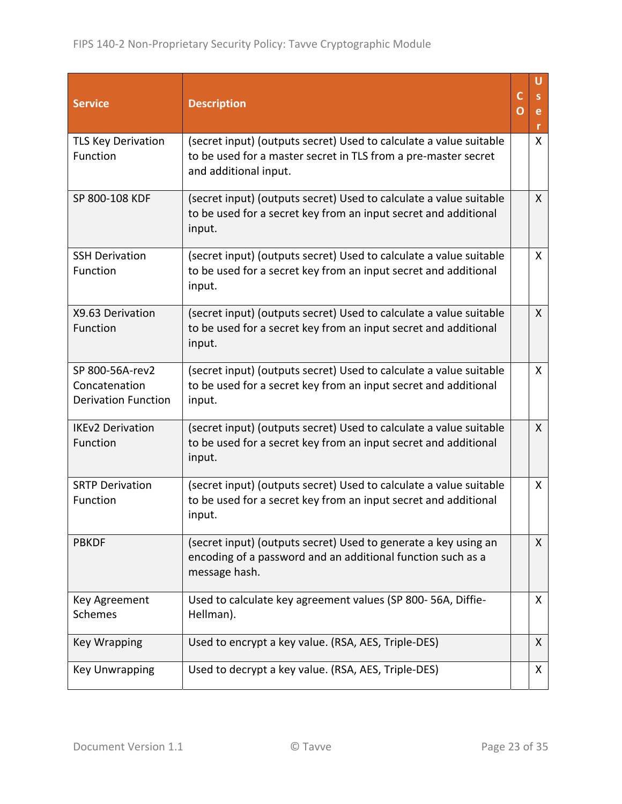| <b>Service</b>                                                 | <b>Description</b>                                                                                                                                            | C<br>O | U<br>S.<br>e<br>r. |
|----------------------------------------------------------------|---------------------------------------------------------------------------------------------------------------------------------------------------------------|--------|--------------------|
| <b>TLS Key Derivation</b><br>Function                          | (secret input) (outputs secret) Used to calculate a value suitable<br>to be used for a master secret in TLS from a pre-master secret<br>and additional input. |        | $\mathsf{X}$       |
| SP 800-108 KDF                                                 | (secret input) (outputs secret) Used to calculate a value suitable<br>to be used for a secret key from an input secret and additional<br>input.               |        | X                  |
| <b>SSH Derivation</b><br>Function                              | (secret input) (outputs secret) Used to calculate a value suitable<br>to be used for a secret key from an input secret and additional<br>input.               |        | $\mathsf{X}$       |
| X9.63 Derivation<br>Function                                   | (secret input) (outputs secret) Used to calculate a value suitable<br>to be used for a secret key from an input secret and additional<br>input.               |        | $\mathsf{X}$       |
| SP 800-56A-rev2<br>Concatenation<br><b>Derivation Function</b> | (secret input) (outputs secret) Used to calculate a value suitable<br>to be used for a secret key from an input secret and additional<br>input.               |        | X                  |
| <b>IKEv2 Derivation</b><br>Function                            | (secret input) (outputs secret) Used to calculate a value suitable<br>to be used for a secret key from an input secret and additional<br>input.               |        | $\mathsf{X}$       |
| <b>SRTP Derivation</b><br>Function                             | (secret input) (outputs secret) Used to calculate a value suitable<br>to be used for a secret key from an input secret and additional<br>input.               |        | $\mathsf{X}$       |
| <b>PBKDF</b>                                                   | (secret input) (outputs secret) Used to generate a key using an<br>encoding of a password and an additional function such as a<br>message hash.               |        | X                  |
| Key Agreement<br><b>Schemes</b>                                | Used to calculate key agreement values (SP 800-56A, Diffie-<br>Hellman).                                                                                      |        | X                  |
| <b>Key Wrapping</b>                                            | Used to encrypt a key value. (RSA, AES, Triple-DES)                                                                                                           |        | X                  |
| <b>Key Unwrapping</b>                                          | Used to decrypt a key value. (RSA, AES, Triple-DES)                                                                                                           |        | X                  |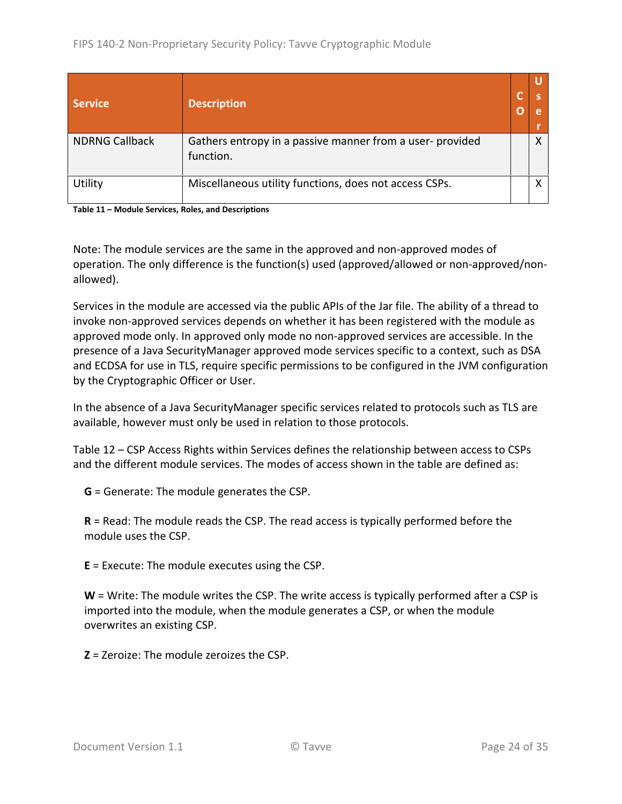| <b>Service</b>        | <b>Description</b>                                                    |  |
|-----------------------|-----------------------------------------------------------------------|--|
| <b>NDRNG Callback</b> | Gathers entropy in a passive manner from a user-provided<br>function. |  |
| Utility               | Miscellaneous utility functions, does not access CSPs.                |  |

**Table 11 – Module Services, Roles, and Descriptions**

Note: The module services are the same in the approved and non‐approved modes of operation. The only difference is the function(s) used (approved/allowed or non‐approved/non‐ allowed).

Services in the module are accessed via the public APIs of the Jar file. The ability of a thread to invoke non‐approved services depends on whether it has been registered with the module as approved mode only. In approved only mode no non‐approved services are accessible. In the presence of a Java SecurityManager approved mode services specific to a context, such as DSA and ECDSA for use in TLS, require specific permissions to be configured in the JVM configuration by the Cryptographic Officer or User.

In the absence of a Java SecurityManager specific services related to protocols such as TLS are available, however must only be used in relation to those protocols.

Table 12 – CSP Access Rights within Services defines the relationship between access to CSPs and the different module services. The modes of access shown in the table are defined as:

**G** = Generate: The module generates the CSP.

**R** = Read: The module reads the CSP. The read access is typically performed before the module uses the CSP.

**E** = Execute: The module executes using the CSP.

**W** = Write: The module writes the CSP. The write access is typically performed after a CSP is imported into the module, when the module generates a CSP, or when the module overwrites an existing CSP.

**Z** = Zeroize: The module zeroizes the CSP.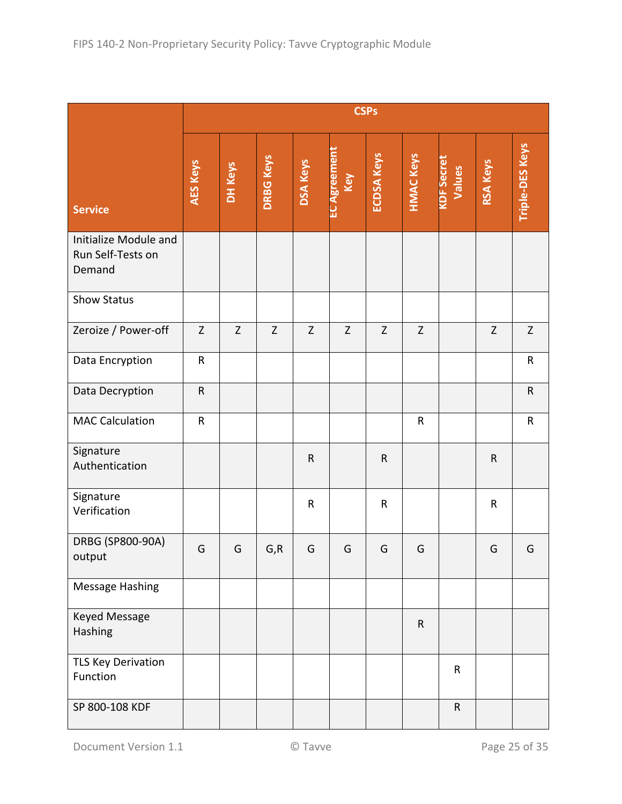|                                                      | <b>CSPs</b> |             |                  |                 |                           |                   |                  |                             |                 |                        |
|------------------------------------------------------|-------------|-------------|------------------|-----------------|---------------------------|-------------------|------------------|-----------------------------|-----------------|------------------------|
| <b>Service</b>                                       | AES Keys    | DH Keys     | <b>DRBG Keys</b> | <b>DSA Keys</b> | <b>EC Agreemen</b><br>Key | <b>ECDSA Keys</b> | <b>HMAC Keys</b> | <b>KDF Secret</b><br>Values | <b>RSA Keys</b> | <b>Triple-DES Keys</b> |
| Initialize Module and<br>Run Self-Tests on<br>Demand |             |             |                  |                 |                           |                   |                  |                             |                 |                        |
| <b>Show Status</b>                                   |             |             |                  |                 |                           |                   |                  |                             |                 |                        |
| Zeroize / Power-off                                  | Z           | $\mathsf Z$ | $\mathsf{Z}$     | $\mathsf Z$     | $\mathsf Z$               | Z                 | $\mathsf Z$      |                             | $\mathsf Z$     | $\mathsf Z$            |
| Data Encryption                                      | ${\sf R}$   |             |                  |                 |                           |                   |                  |                             |                 | $\mathsf{R}$           |
| Data Decryption                                      | ${\sf R}$   |             |                  |                 |                           |                   |                  |                             |                 | ${\sf R}$              |
| <b>MAC Calculation</b>                               | ${\sf R}$   |             |                  |                 |                           |                   | ${\sf R}$        |                             |                 | ${\sf R}$              |
| Signature<br>Authentication                          |             |             |                  | ${\sf R}$       |                           | $\mathsf R$       |                  |                             | ${\sf R}$       |                        |
| Signature<br>Verification                            |             |             |                  | $\mathsf R$     |                           | ${\sf R}$         |                  |                             | ${\sf R}$       |                        |
| DRBG (SP800-90A)<br>output                           | G           | G           | G, R             | G               | G                         | G                 | G                |                             | G               | G                      |
| Message Hashing                                      |             |             |                  |                 |                           |                   |                  |                             |                 |                        |
| Keyed Message<br>Hashing                             |             |             |                  |                 |                           |                   | $\mathsf{R}$     |                             |                 |                        |
| <b>TLS Key Derivation</b><br>Function                |             |             |                  |                 |                           |                   |                  | ${\sf R}$                   |                 |                        |
| SP 800-108 KDF                                       |             |             |                  |                 |                           |                   |                  | ${\sf R}$                   |                 |                        |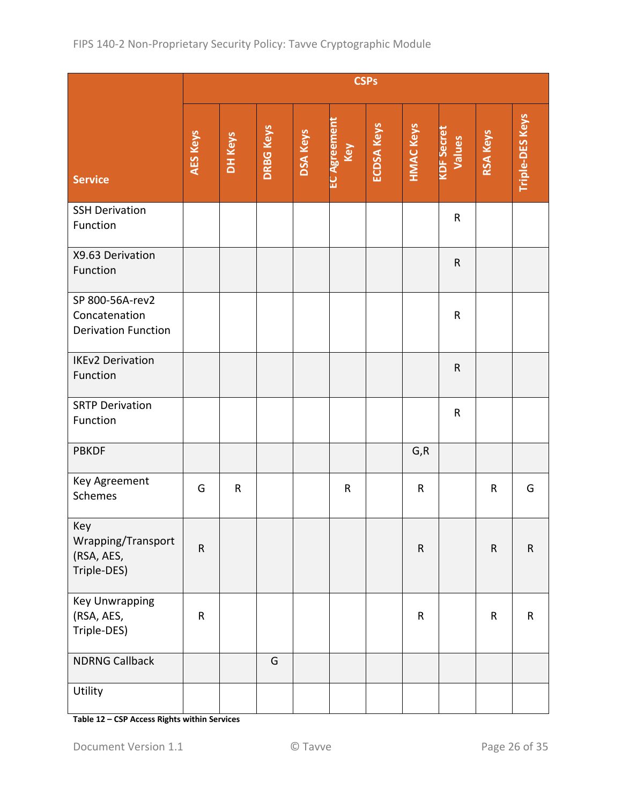|                                                                | <b>CSPs</b>     |         |                  |                 |                            |                   |                  |                             |           |                 |
|----------------------------------------------------------------|-----------------|---------|------------------|-----------------|----------------------------|-------------------|------------------|-----------------------------|-----------|-----------------|
| <b>Service</b>                                                 | <b>AES Keys</b> | DH Keys | <b>DRBG Keys</b> | <b>DSA Keys</b> | <b>EC Agreement</b><br>Key | <b>ECDSA Keys</b> | <b>HMAC Keys</b> | <b>KDF Secret</b><br>Values | RSA Keys  | Triple-DES Keys |
| <b>SSH Derivation</b><br>Function                              |                 |         |                  |                 |                            |                   |                  | ${\sf R}$                   |           |                 |
| X9.63 Derivation<br>Function                                   |                 |         |                  |                 |                            |                   |                  | ${\sf R}$                   |           |                 |
| SP 800-56A-rev2<br>Concatenation<br><b>Derivation Function</b> |                 |         |                  |                 |                            |                   |                  | ${\sf R}$                   |           |                 |
| <b>IKEv2 Derivation</b><br>Function                            |                 |         |                  |                 |                            |                   |                  | ${\sf R}$                   |           |                 |
| <b>SRTP Derivation</b><br>Function                             |                 |         |                  |                 |                            |                   |                  | ${\sf R}$                   |           |                 |
| <b>PBKDF</b>                                                   |                 |         |                  |                 |                            |                   | G, R             |                             |           |                 |
| Key Agreement<br>Schemes                                       | G               | R       |                  |                 | $\mathsf{R}$               |                   | ${\sf R}$        |                             | R         | G               |
| Key<br>Wrapping/Transport<br>(RSA, AES,<br>Triple-DES)         | $\mathsf R$     |         |                  |                 |                            |                   | ${\sf R}$        |                             | ${\sf R}$ | $\mathsf R$     |
| Key Unwrapping<br>(RSA, AES,<br>Triple-DES)                    | ${\sf R}$       |         |                  |                 |                            |                   | $\mathsf R$      |                             | ${\sf R}$ | $\mathsf R$     |
| <b>NDRNG Callback</b>                                          |                 |         | G                |                 |                            |                   |                  |                             |           |                 |
| Utility                                                        |                 |         |                  |                 |                            |                   |                  |                             |           |                 |

**Table 12 – CSP Access Rights within Services**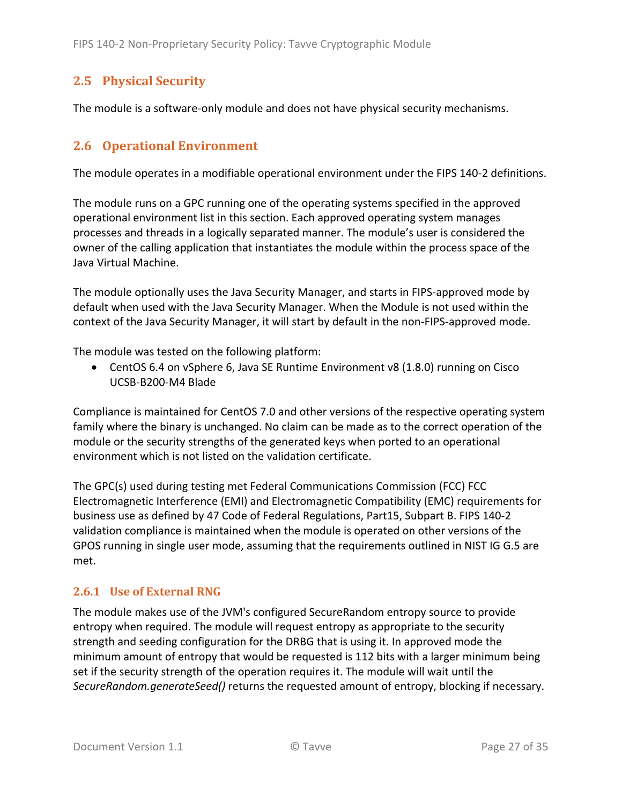## **2.5 Physical Security**

The module is a software-only module and does not have physical security mechanisms.

## **2.6 Operational Environment**

The module operates in a modifiable operational environment under the FIPS 140‐2 definitions.

The module runs on a GPC running one of the operating systems specified in the approved operational environment list in this section. Each approved operating system manages processes and threads in a logically separated manner. The module's user is considered the owner of the calling application that instantiates the module within the process space of the Java Virtual Machine.

The module optionally uses the Java Security Manager, and starts in FIPS-approved mode by default when used with the Java Security Manager. When the Module is not used within the context of the Java Security Manager, it will start by default in the non‐FIPS‐approved mode.

The module was tested on the following platform:

 CentOS 6.4 on vSphere 6, Java SE Runtime Environment v8 (1.8.0) running on Cisco UCSB‐B200‐M4 Blade

Compliance is maintained for CentOS 7.0 and other versions of the respective operating system family where the binary is unchanged. No claim can be made as to the correct operation of the module or the security strengths of the generated keys when ported to an operational environment which is not listed on the validation certificate.

The GPC(s) used during testing met Federal Communications Commission (FCC) FCC Electromagnetic Interference (EMI) and Electromagnetic Compatibility (EMC) requirements for business use as defined by 47 Code of Federal Regulations, Part15, Subpart B. FIPS 140‐2 validation compliance is maintained when the module is operated on other versions of the GPOS running in single user mode, assuming that the requirements outlined in NIST IG G.5 are met.

#### **2.6.1 Use of External RNG**

The module makes use of the JVM's configured SecureRandom entropy source to provide entropy when required. The module will request entropy as appropriate to the security strength and seeding configuration for the DRBG that is using it. In approved mode the minimum amount of entropy that would be requested is 112 bits with a larger minimum being set if the security strength of the operation requires it. The module will wait until the *SecureRandom.generateSeed()* returns the requested amount of entropy, blocking if necessary.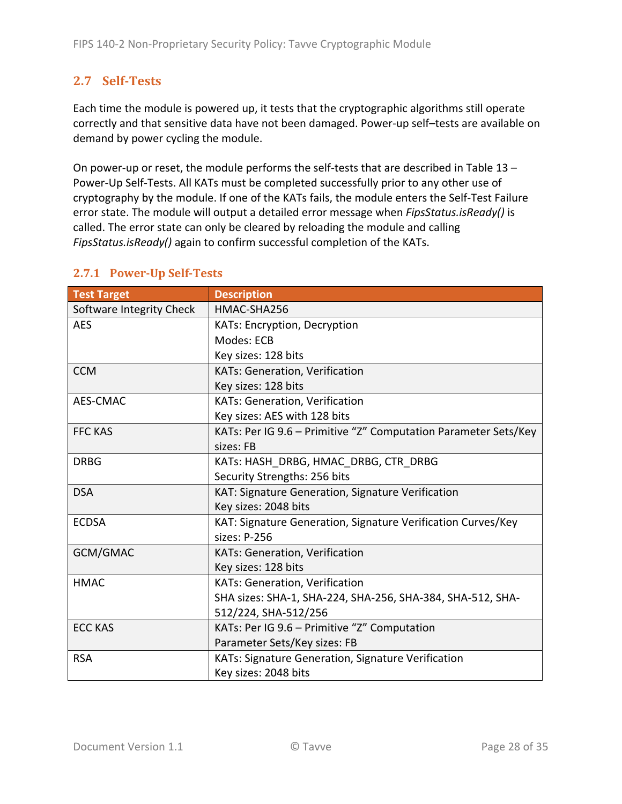## **2.7 Self‐Tests**

Each time the module is powered up, it tests that the cryptographic algorithms still operate correctly and that sensitive data have not been damaged. Power‐up self–tests are available on demand by power cycling the module.

On power-up or reset, the module performs the self-tests that are described in Table 13 – Power‐Up Self‐Tests. All KATs must be completed successfully prior to any other use of cryptography by the module. If one of the KATs fails, the module enters the Self‐Test Failure error state. The module will output a detailed error message when *FipsStatus.isReady()* is called. The error state can only be cleared by reloading the module and calling *FipsStatus.isReady()* again to confirm successful completion of the KATs.

| <b>Test Target</b>       | <b>Description</b>                                              |
|--------------------------|-----------------------------------------------------------------|
| Software Integrity Check | HMAC-SHA256                                                     |
| <b>AES</b>               | <b>KATs: Encryption, Decryption</b>                             |
|                          | Modes: ECB                                                      |
|                          | Key sizes: 128 bits                                             |
| <b>CCM</b>               | KATs: Generation, Verification                                  |
|                          | Key sizes: 128 bits                                             |
| AES-CMAC                 | KATs: Generation, Verification                                  |
|                          | Key sizes: AES with 128 bits                                    |
| <b>FFC KAS</b>           | KATs: Per IG 9.6 - Primitive "Z" Computation Parameter Sets/Key |
|                          | sizes: FB                                                       |
| <b>DRBG</b>              | KATs: HASH_DRBG, HMAC_DRBG, CTR_DRBG                            |
|                          | Security Strengths: 256 bits                                    |
| <b>DSA</b>               | KAT: Signature Generation, Signature Verification               |
|                          | Key sizes: 2048 bits                                            |
| <b>ECDSA</b>             | KAT: Signature Generation, Signature Verification Curves/Key    |
|                          | sizes: P-256                                                    |
| GCM/GMAC                 | KATs: Generation, Verification                                  |
|                          | Key sizes: 128 bits                                             |
| <b>HMAC</b>              | KATs: Generation, Verification                                  |
|                          | SHA sizes: SHA-1, SHA-224, SHA-256, SHA-384, SHA-512, SHA-      |
|                          | 512/224, SHA-512/256                                            |
| <b>ECC KAS</b>           | KATs: Per IG 9.6 - Primitive "Z" Computation                    |
|                          | Parameter Sets/Key sizes: FB                                    |
| <b>RSA</b>               | KATs: Signature Generation, Signature Verification              |
|                          | Key sizes: 2048 bits                                            |

## **2.7.1 Power‐Up Self‐Tests**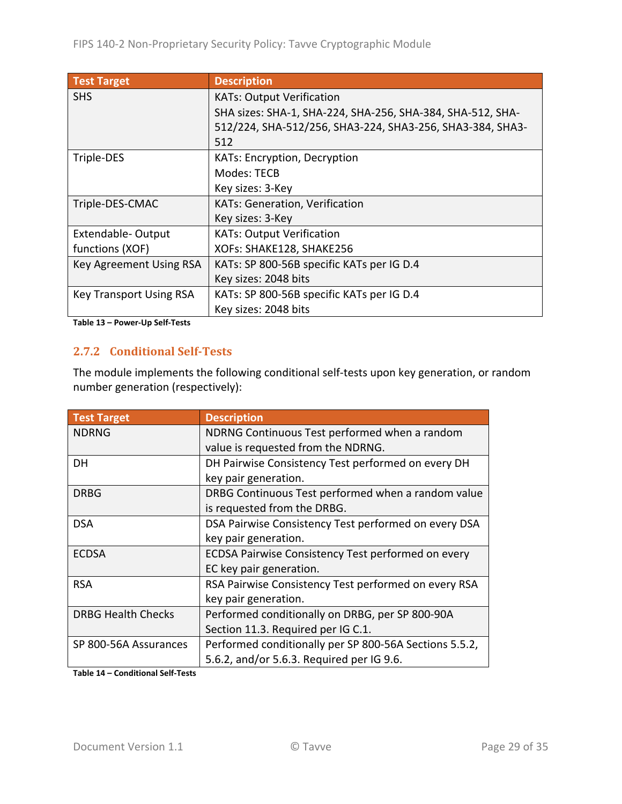| <b>Test Target</b>             | <b>Description</b>                                         |
|--------------------------------|------------------------------------------------------------|
| <b>SHS</b>                     | <b>KATs: Output Verification</b>                           |
|                                | SHA sizes: SHA-1, SHA-224, SHA-256, SHA-384, SHA-512, SHA- |
|                                | 512/224, SHA-512/256, SHA3-224, SHA3-256, SHA3-384, SHA3-  |
|                                | 512                                                        |
| Triple-DES                     | KATs: Encryption, Decryption                               |
|                                | Modes: TECB                                                |
|                                | Key sizes: 3-Key                                           |
| Triple-DES-CMAC                | <b>KATs: Generation, Verification</b>                      |
|                                | Key sizes: 3-Key                                           |
| Extendable-Output              | <b>KATs: Output Verification</b>                           |
| functions (XOF)                | XOFs: SHAKE128, SHAKE256                                   |
| Key Agreement Using RSA        | KATs: SP 800-56B specific KATs per IG D.4                  |
|                                | Key sizes: 2048 bits                                       |
| <b>Key Transport Using RSA</b> | KATs: SP 800-56B specific KATs per IG D.4                  |
|                                | Key sizes: 2048 bits                                       |

**Table 13 – Power‐Up Self‐Tests**

#### **2.7.2 Conditional Self‐Tests**

The module implements the following conditional self‐tests upon key generation, or random number generation (respectively):

| <b>Test Target</b>        | <b>Description</b>                                        |
|---------------------------|-----------------------------------------------------------|
| <b>NDRNG</b>              | NDRNG Continuous Test performed when a random             |
|                           | value is requested from the NDRNG.                        |
| DH                        | DH Pairwise Consistency Test performed on every DH        |
|                           | key pair generation.                                      |
| <b>DRBG</b>               | DRBG Continuous Test performed when a random value        |
|                           | is requested from the DRBG.                               |
| <b>DSA</b>                | DSA Pairwise Consistency Test performed on every DSA      |
|                           | key pair generation.                                      |
| <b>ECDSA</b>              | <b>ECDSA Pairwise Consistency Test performed on every</b> |
|                           | EC key pair generation.                                   |
| <b>RSA</b>                | RSA Pairwise Consistency Test performed on every RSA      |
|                           | key pair generation.                                      |
| <b>DRBG Health Checks</b> | Performed conditionally on DRBG, per SP 800-90A           |
|                           | Section 11.3. Required per IG C.1.                        |
| SP 800-56A Assurances     | Performed conditionally per SP 800-56A Sections 5.5.2,    |
|                           | 5.6.2, and/or 5.6.3. Required per IG 9.6.                 |

**Table 14 – Conditional Self‐Tests**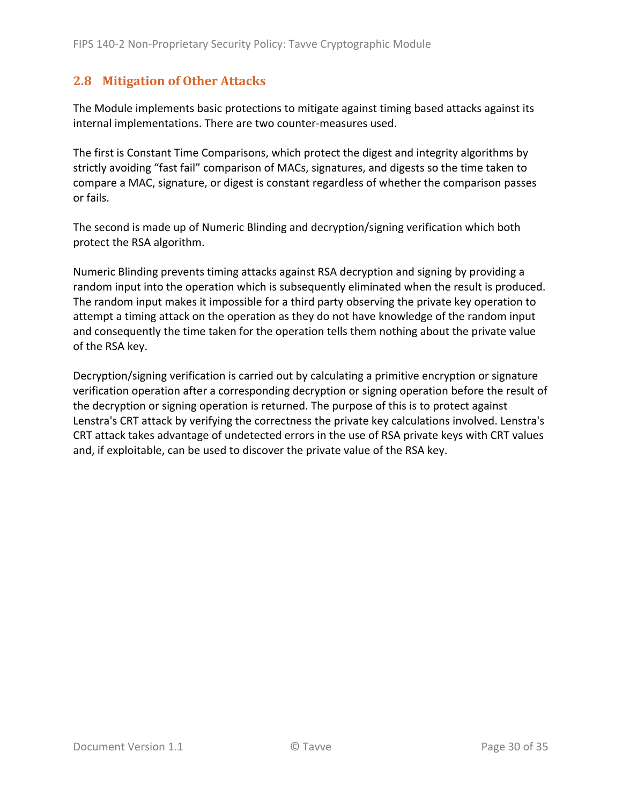## **2.8 Mitigation of Other Attacks**

The Module implements basic protections to mitigate against timing based attacks against its internal implementations. There are two counter‐measures used.

The first is Constant Time Comparisons, which protect the digest and integrity algorithms by strictly avoiding "fast fail" comparison of MACs, signatures, and digests so the time taken to compare a MAC, signature, or digest is constant regardless of whether the comparison passes or fails.

The second is made up of Numeric Blinding and decryption/signing verification which both protect the RSA algorithm.

Numeric Blinding prevents timing attacks against RSA decryption and signing by providing a random input into the operation which is subsequently eliminated when the result is produced. The random input makes it impossible for a third party observing the private key operation to attempt a timing attack on the operation as they do not have knowledge of the random input and consequently the time taken for the operation tells them nothing about the private value of the RSA key.

Decryption/signing verification is carried out by calculating a primitive encryption or signature verification operation after a corresponding decryption or signing operation before the result of the decryption or signing operation is returned. The purpose of this is to protect against Lenstra's CRT attack by verifying the correctness the private key calculations involved. Lenstra's CRT attack takes advantage of undetected errors in the use of RSA private keys with CRT values and, if exploitable, can be used to discover the private value of the RSA key.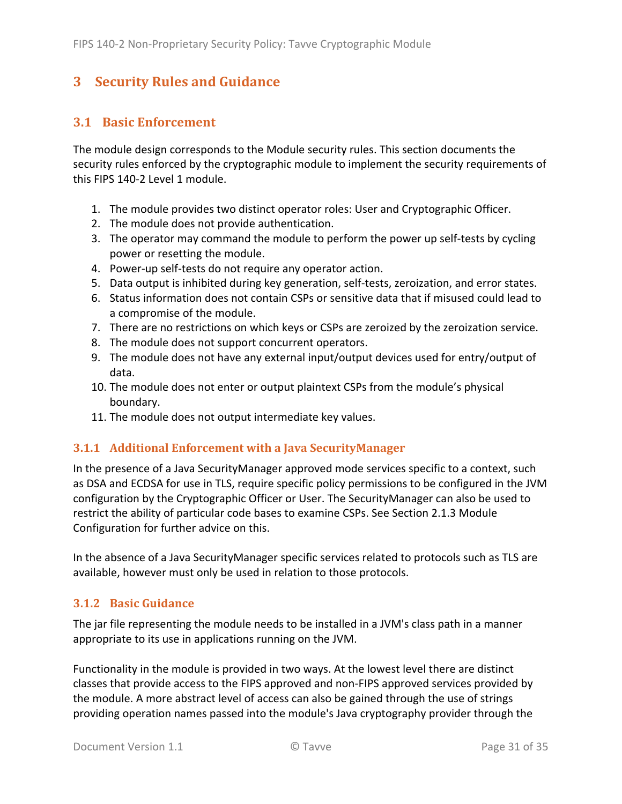## **3 Security Rules and Guidance**

## **3.1 Basic Enforcement**

The module design corresponds to the Module security rules. This section documents the security rules enforced by the cryptographic module to implement the security requirements of this FIPS 140‐2 Level 1 module.

- 1. The module provides two distinct operator roles: User and Cryptographic Officer.
- 2. The module does not provide authentication.
- 3. The operator may command the module to perform the power up self‐tests by cycling power or resetting the module.
- 4. Power‐up self‐tests do not require any operator action.
- 5. Data output is inhibited during key generation, self-tests, zeroization, and error states.
- 6. Status information does not contain CSPs or sensitive data that if misused could lead to a compromise of the module.
- 7. There are no restrictions on which keys or CSPs are zeroized by the zeroization service.
- 8. The module does not support concurrent operators.
- 9. The module does not have any external input/output devices used for entry/output of data.
- 10. The module does not enter or output plaintext CSPs from the module's physical boundary.
- 11. The module does not output intermediate key values.

#### **3.1.1 Additional Enforcement with a Java SecurityManager**

In the presence of a Java SecurityManager approved mode services specific to a context, such as DSA and ECDSA for use in TLS, require specific policy permissions to be configured in the JVM configuration by the Cryptographic Officer or User. The SecurityManager can also be used to restrict the ability of particular code bases to examine CSPs. See Section 2.1.3 Module Configuration for further advice on this.

In the absence of a Java SecurityManager specific services related to protocols such as TLS are available, however must only be used in relation to those protocols.

#### **3.1.2 Basic Guidance**

The jar file representing the module needs to be installed in a JVM's class path in a manner appropriate to its use in applications running on the JVM.

Functionality in the module is provided in two ways. At the lowest level there are distinct classes that provide access to the FIPS approved and non‐FIPS approved services provided by the module. A more abstract level of access can also be gained through the use of strings providing operation names passed into the module's Java cryptography provider through the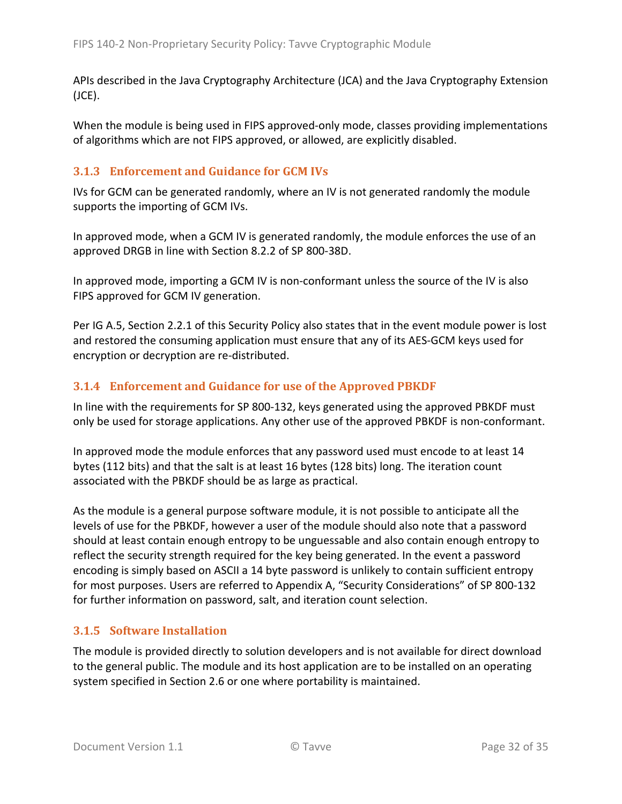APIs described in the Java Cryptography Architecture (JCA) and the Java Cryptography Extension (JCE).

When the module is being used in FIPS approved-only mode, classes providing implementations of algorithms which are not FIPS approved, or allowed, are explicitly disabled.

#### **3.1.3 Enforcement and Guidance for GCM IVs**

IVs for GCM can be generated randomly, where an IV is not generated randomly the module supports the importing of GCM IVs.

In approved mode, when a GCM IV is generated randomly, the module enforces the use of an approved DRGB in line with Section 8.2.2 of SP 800‐38D.

In approved mode, importing a GCM IV is non‐conformant unless the source of the IV is also FIPS approved for GCM IV generation.

Per IG A.5, Section 2.2.1 of this Security Policy also states that in the event module power is lost and restored the consuming application must ensure that any of its AES‐GCM keys used for encryption or decryption are re‐distributed.

#### **3.1.4 Enforcement and Guidance for use of the Approved PBKDF**

In line with the requirements for SP 800‐132, keys generated using the approved PBKDF must only be used for storage applications. Any other use of the approved PBKDF is non‐conformant.

In approved mode the module enforces that any password used must encode to at least 14 bytes (112 bits) and that the salt is at least 16 bytes (128 bits) long. The iteration count associated with the PBKDF should be as large as practical.

As the module is a general purpose software module, it is not possible to anticipate all the levels of use for the PBKDF, however a user of the module should also note that a password should at least contain enough entropy to be unguessable and also contain enough entropy to reflect the security strength required for the key being generated. In the event a password encoding is simply based on ASCII a 14 byte password is unlikely to contain sufficient entropy for most purposes. Users are referred to Appendix A, "Security Considerations" of SP 800‐132 for further information on password, salt, and iteration count selection.

#### **3.1.5 Software Installation**

The module is provided directly to solution developers and is not available for direct download to the general public. The module and its host application are to be installed on an operating system specified in Section 2.6 or one where portability is maintained.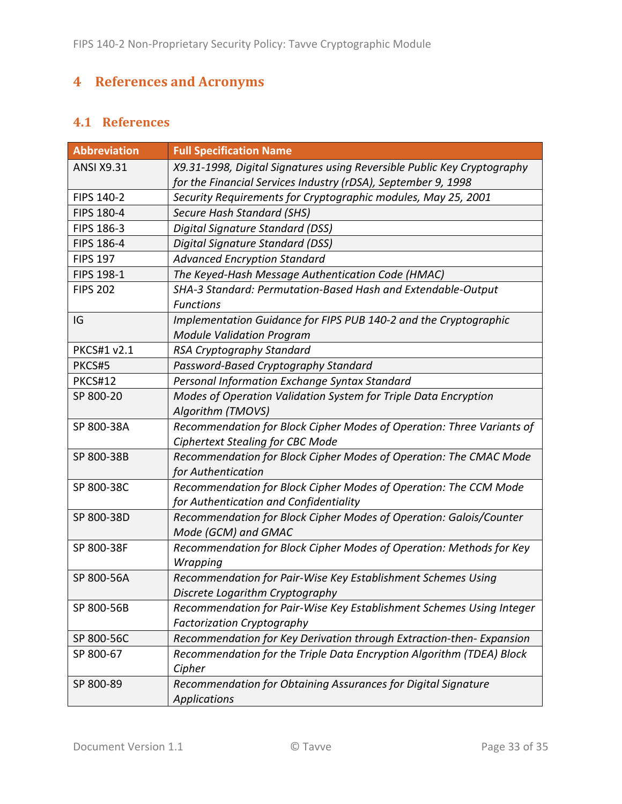# **4 References and Acronyms**

## **4.1 References**

| <b>Abbreviation</b> | <b>Full Specification Name</b>                                          |
|---------------------|-------------------------------------------------------------------------|
| <b>ANSI X9.31</b>   | X9.31-1998, Digital Signatures using Reversible Public Key Cryptography |
|                     | for the Financial Services Industry (rDSA), September 9, 1998           |
| FIPS 140-2          | Security Requirements for Cryptographic modules, May 25, 2001           |
| FIPS 180-4          | Secure Hash Standard (SHS)                                              |
| FIPS 186-3          | Digital Signature Standard (DSS)                                        |
| FIPS 186-4          | Digital Signature Standard (DSS)                                        |
| <b>FIPS 197</b>     | <b>Advanced Encryption Standard</b>                                     |
| FIPS 198-1          | The Keyed-Hash Message Authentication Code (HMAC)                       |
| <b>FIPS 202</b>     | SHA-3 Standard: Permutation-Based Hash and Extendable-Output            |
|                     | <b>Functions</b>                                                        |
| IG                  | Implementation Guidance for FIPS PUB 140-2 and the Cryptographic        |
|                     | <b>Module Validation Program</b>                                        |
| PKCS#1 v2.1         | RSA Cryptography Standard                                               |
| PKCS#5              | Password-Based Cryptography Standard                                    |
| <b>PKCS#12</b>      | Personal Information Exchange Syntax Standard                           |
| SP 800-20           | Modes of Operation Validation System for Triple Data Encryption         |
|                     | Algorithm (TMOVS)                                                       |
| SP 800-38A          | Recommendation for Block Cipher Modes of Operation: Three Variants of   |
|                     | <b>Ciphertext Stealing for CBC Mode</b>                                 |
| SP 800-38B          | Recommendation for Block Cipher Modes of Operation: The CMAC Mode       |
|                     | for Authentication                                                      |
| SP 800-38C          | Recommendation for Block Cipher Modes of Operation: The CCM Mode        |
|                     | for Authentication and Confidentiality                                  |
| SP 800-38D          | Recommendation for Block Cipher Modes of Operation: Galois/Counter      |
|                     | Mode (GCM) and GMAC                                                     |
| SP 800-38F          | Recommendation for Block Cipher Modes of Operation: Methods for Key     |
|                     | Wrapping                                                                |
| SP 800-56A          | Recommendation for Pair-Wise Key Establishment Schemes Using            |
|                     | Discrete Logarithm Cryptography                                         |
| SP 800-56B          | Recommendation for Pair-Wise Key Establishment Schemes Using Integer    |
|                     | <b>Factorization Cryptography</b>                                       |
| SP 800-56C          | Recommendation for Key Derivation through Extraction-then-Expansion     |
| SP 800-67           | Recommendation for the Triple Data Encryption Algorithm (TDEA) Block    |
|                     | Cipher                                                                  |
| SP 800-89           | Recommendation for Obtaining Assurances for Digital Signature           |
|                     | <b>Applications</b>                                                     |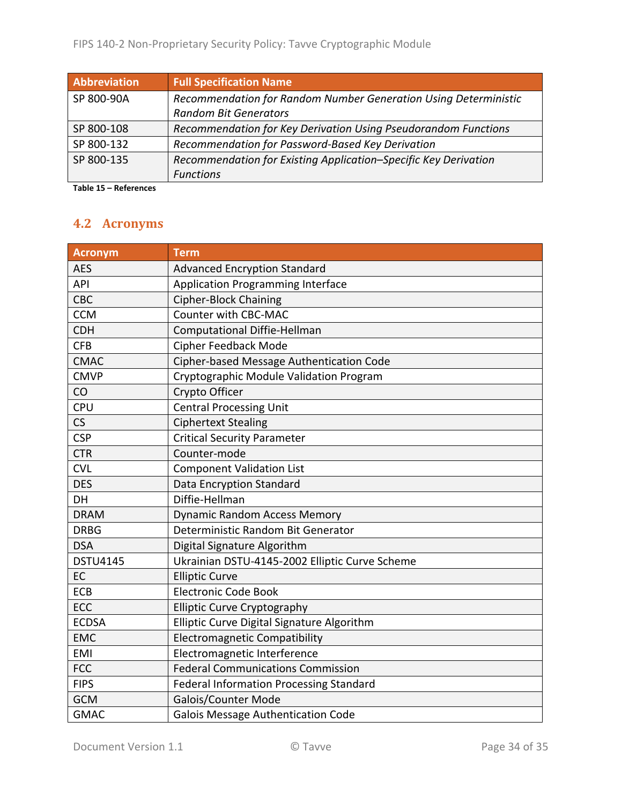| <b>Abbreviation</b> | <b>Full Specification Name</b>                                  |
|---------------------|-----------------------------------------------------------------|
| SP 800-90A          | Recommendation for Random Number Generation Using Deterministic |
|                     | <b>Random Bit Generators</b>                                    |
| SP 800-108          | Recommendation for Key Derivation Using Pseudorandom Functions  |
| SP 800-132          | Recommendation for Password-Based Key Derivation                |
| SP 800-135          | Recommendation for Existing Application-Specific Key Derivation |
|                     | <b>Functions</b>                                                |

**Table 15 – References**

# **4.2 Acronyms**

| <b>Acronym</b>  | <b>Term</b>                                    |
|-----------------|------------------------------------------------|
| <b>AES</b>      | <b>Advanced Encryption Standard</b>            |
| API             | <b>Application Programming Interface</b>       |
| CBC             | <b>Cipher-Block Chaining</b>                   |
| <b>CCM</b>      | Counter with CBC-MAC                           |
| <b>CDH</b>      | <b>Computational Diffie-Hellman</b>            |
| <b>CFB</b>      | Cipher Feedback Mode                           |
| <b>CMAC</b>     | Cipher-based Message Authentication Code       |
| <b>CMVP</b>     | Cryptographic Module Validation Program        |
| CO              | Crypto Officer                                 |
| <b>CPU</b>      | <b>Central Processing Unit</b>                 |
| CS              | <b>Ciphertext Stealing</b>                     |
| <b>CSP</b>      | <b>Critical Security Parameter</b>             |
| <b>CTR</b>      | Counter-mode                                   |
| <b>CVL</b>      | <b>Component Validation List</b>               |
| <b>DES</b>      | Data Encryption Standard                       |
| DH              | Diffie-Hellman                                 |
| <b>DRAM</b>     | <b>Dynamic Random Access Memory</b>            |
| <b>DRBG</b>     | Deterministic Random Bit Generator             |
| <b>DSA</b>      | Digital Signature Algorithm                    |
| <b>DSTU4145</b> | Ukrainian DSTU-4145-2002 Elliptic Curve Scheme |
| EC              | <b>Elliptic Curve</b>                          |
| ECB             | <b>Electronic Code Book</b>                    |
| ECC             | <b>Elliptic Curve Cryptography</b>             |
| <b>ECDSA</b>    | Elliptic Curve Digital Signature Algorithm     |
| <b>EMC</b>      | <b>Electromagnetic Compatibility</b>           |
| <b>EMI</b>      | Electromagnetic Interference                   |
| <b>FCC</b>      | <b>Federal Communications Commission</b>       |
| <b>FIPS</b>     | <b>Federal Information Processing Standard</b> |
| <b>GCM</b>      | Galois/Counter Mode                            |
| <b>GMAC</b>     | <b>Galois Message Authentication Code</b>      |